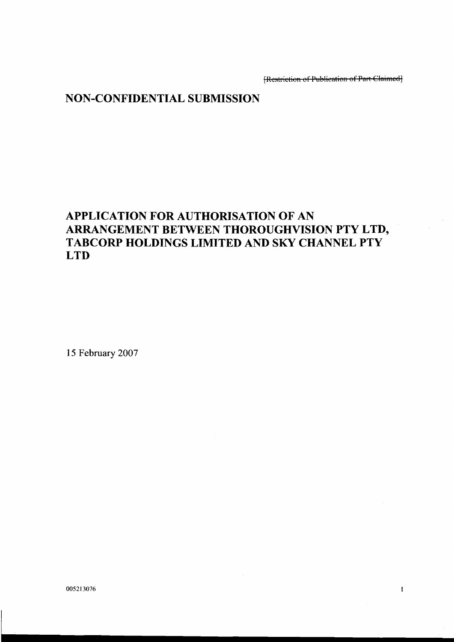**FRestriction of Publication of Part Claimed-**

 $\mathbf{l}$ 

# **NON-CONFIDENTIAL SUBMISSION**

# **APPLICATION FOR AUTHORISATION OF AN ARRANGEMENT BETWEEN THOROUGHVISION PTY LTD, TABCORP HOLDINGS LIMITED AND SKY CHANNEL PTY LTD**

**15** February 2007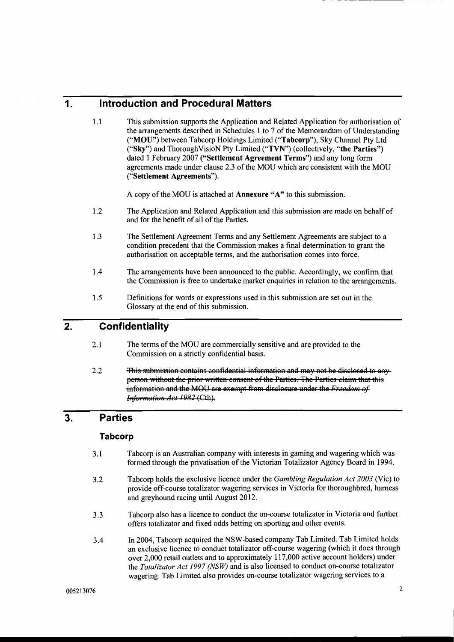### **I. Introduction and Procedural Matters**

1.1 This submission supports the Application and Related Application for authorisation of the arrangements described in Schedules 1 to 7 of the Memorandum of Understanding ("MOU") between Tabcorp Holdings Limited ("Tabcorp"), Sky Channel Pty Ltd ("Sky") and ThoroughVisioN Pty Limited ("TVN") (collectively, "the Parties") dated 1 February 2007 ("Settlement Agreement Terms") and any long form agreements made under clause 2.3 of the MOU which are consistent with the MOU ("Settlement Agreements").

A copy of the MOU is attached at Annexure "A" to this submission.

- 1.2 The Application and Related Application and this submission are made on behalf of and for the benefit of all of the Parties.
- 1.3 The Settlement Agreement Terms and any Settlement Agreements are subject to a condition precedent that the Commission makes a final determination to grant the authorisation on acceptable terns, and the authorisation comes into force.
- 1.4 The arrangements have been announced to the public. Accordingly, we confirm that the Commission is free to undertake market enquiries in relation to the arrangements.
- 1.5 Definitions for words or expressions used in this submission are set out in the Glossary at the end of this submission.

### **2. Confidentiality**

- 2.1 The terms of the MOU are commercially sensitive and are provided to the Commission on a strictly confidential basis.
- $2.2$ This submission contains confidential information and may not be disclosed to anyperson without the prior written consent of the Parties. The Parties claim that this information and the MOU are exempt from disclosure under the Freedom of Information Act 1982 (Cth).

#### $3.$ **Parties**

#### **Tabcorp**

- 3.1 Tabcorp is an Australian company with interests in gaming and wagering which was formed through the privatisation of the Victorian Totalizator Agency Board in 1994.
- 3.2 Tabcorp holds the exclusive licence under the *Gambling Regulation Act 2003* (Vic) to provide off-course totalizator wagering services in Victoria for thoroughbred, harness and greyhound racing until August 2012.
- 3.3 Tabcorp also has a licence to conduct the on-course totalizator in Victoria and further offers totalizator and fixed odds betting on sporting and other events.
- 3.4 In 2004, Tabcorp acquired the NSW-based company Tab Limited. Tab Limited holds an exclusive licence to conduct totalizator off-course wagering (which it does through over 2,000 retail outlets and to approximately 117,000 active account holders) under the *Totalizator Act* 1997 *(NSW)* and is also licensed to conduct on-course totalizator wagering. Tab Limited also provides on-course totalizator wagering services to a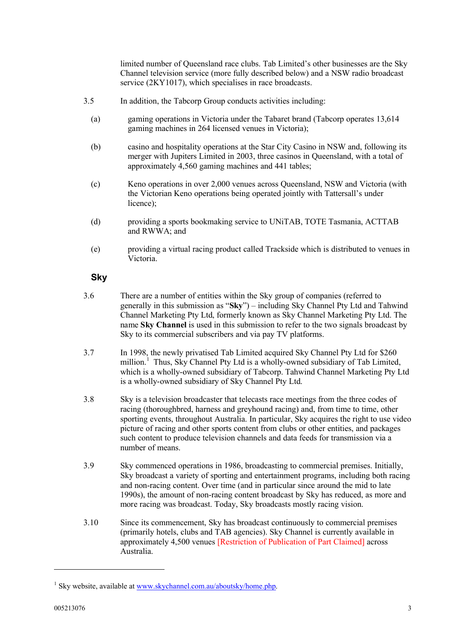limited number of Queensland race clubs. Tab Limited's other businesses are the Sky Channel television service (more fully described below) and a NSW radio broadcast service (2KY1017), which specialises in race broadcasts.

- 3.5 In addition, the Tabcorp Group conducts activities including:
	- (a) gaming operations in Victoria under the Tabaret brand (Tabcorp operates 13,614 gaming machines in 264 licensed venues in Victoria);
	- (b) casino and hospitality operations at the Star City Casino in NSW and, following its merger with Jupiters Limited in 2003, three casinos in Queensland, with a total of approximately 4,560 gaming machines and 441 tables;
	- (c) Keno operations in over 2,000 venues across Queensland, NSW and Victoria (with the Victorian Keno operations being operated jointly with Tattersall's under licence);
	- (d) providing a sports bookmaking service to UNiTAB, TOTE Tasmania, ACTTAB and RWWA; and
	- (e) providing a virtual racing product called Trackside which is distributed to venues in Victoria.

### **Sky**

- 3.6 There are a number of entities within the Sky group of companies (referred to generally in this submission as "**Sky**") – including Sky Channel Pty Ltd and Tahwind Channel Marketing Pty Ltd, formerly known as Sky Channel Marketing Pty Ltd. The name **Sky Channel** is used in this submission to refer to the two signals broadcast by Sky to its commercial subscribers and via pay TV platforms.
- 3.7 In 1998, the newly privatised Tab Limited acquired Sky Channel Pty Ltd for \$260 million.<sup>1</sup> Thus, Sky Channel Pty Ltd is a wholly-owned subsidiary of Tab Limited, which is a wholly-owned subsidiary of Tabcorp. Tahwind Channel Marketing Pty Ltd is a wholly-owned subsidiary of Sky Channel Pty Ltd.
- 3.8 Sky is a television broadcaster that telecasts race meetings from the three codes of racing (thoroughbred, harness and greyhound racing) and, from time to time, other sporting events, throughout Australia. In particular, Sky acquires the right to use video picture of racing and other sports content from clubs or other entities, and packages such content to produce television channels and data feeds for transmission via a number of means.
- 3.9 Sky commenced operations in 1986, broadcasting to commercial premises. Initially, Sky broadcast a variety of sporting and entertainment programs, including both racing and non-racing content. Over time (and in particular since around the mid to late 1990s), the amount of non-racing content broadcast by Sky has reduced, as more and more racing was broadcast. Today, Sky broadcasts mostly racing vision.
- 3.10 Since its commencement, Sky has broadcast continuously to commercial premises (primarily hotels, clubs and TAB agencies). Sky Channel is currently available in approximately 4,500 venues [Restriction of Publication of Part Claimed] across Australia.

<sup>&</sup>lt;sup>1</sup> Sky website, available at [www.skychannel.com.au/aboutsky/home.php.](www.skychannel.com.au/aboutsky/home.php)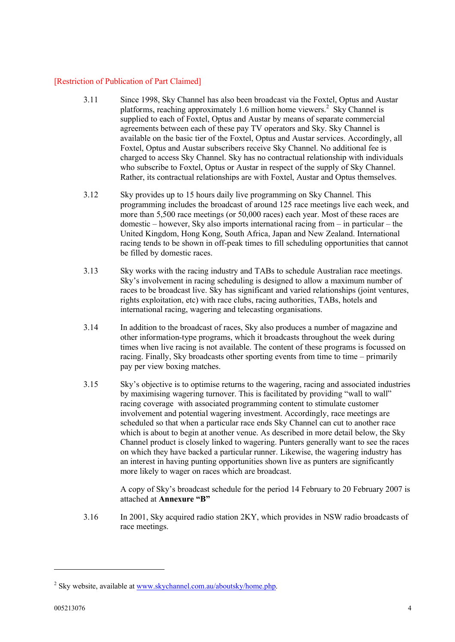#### [Restriction of Publication of Part Claimed]

- 3.11 Since 1998, Sky Channel has also been broadcast via the Foxtel, Optus and Austar platforms, reaching approximately 1.6 million home viewers.<sup>2</sup> Sky Channel is supplied to each of Foxtel, Optus and Austar by means of separate commercial agreements between each of these pay TV operators and Sky. Sky Channel is available on the basic tier of the Foxtel, Optus and Austar services. Accordingly, all Foxtel, Optus and Austar subscribers receive Sky Channel. No additional fee is charged to access Sky Channel. Sky has no contractual relationship with individuals who subscribe to Foxtel, Optus or Austar in respect of the supply of Sky Channel. Rather, its contractual relationships are with Foxtel, Austar and Optus themselves.
- 3.12 Sky provides up to 15 hours daily live programming on Sky Channel. This programming includes the broadcast of around 125 race meetings live each week, and more than 5,500 race meetings (or 50,000 races) each year. Most of these races are domestic – however, Sky also imports international racing from – in particular – the United Kingdom, Hong Kong, South Africa, Japan and New Zealand. International racing tends to be shown in off-peak times to fill scheduling opportunities that cannot be filled by domestic races.
- 3.13 Sky works with the racing industry and TABs to schedule Australian race meetings. Sky's involvement in racing scheduling is designed to allow a maximum number of races to be broadcast live. Sky has significant and varied relationships (joint ventures, rights exploitation, etc) with race clubs, racing authorities, TABs, hotels and international racing, wagering and telecasting organisations.
- 3.14 In addition to the broadcast of races, Sky also produces a number of magazine and other information-type programs, which it broadcasts throughout the week during times when live racing is not available. The content of these programs is focussed on racing. Finally, Sky broadcasts other sporting events from time to time – primarily pay per view boxing matches.
- 3.15 Sky's objective is to optimise returns to the wagering, racing and associated industries by maximising wagering turnover. This is facilitated by providing "wall to wall" racing coverage with associated programming content to stimulate customer involvement and potential wagering investment. Accordingly, race meetings are scheduled so that when a particular race ends Sky Channel can cut to another race which is about to begin at another venue. As described in more detail below, the Sky Channel product is closely linked to wagering. Punters generally want to see the races on which they have backed a particular runner. Likewise, the wagering industry has an interest in having punting opportunities shown live as punters are significantly more likely to wager on races which are broadcast.

A copy of Sky's broadcast schedule for the period 14 February to 20 February 2007 is attached at **Annexure "B"**

3.16 In 2001, Sky acquired radio station 2KY, which provides in NSW radio broadcasts of race meetings.

<sup>&</sup>lt;sup>2</sup> Sky website, available at [www.skychannel.com.au/aboutsky/home.php.](www.skychannel.com.au/aboutsky/home.php)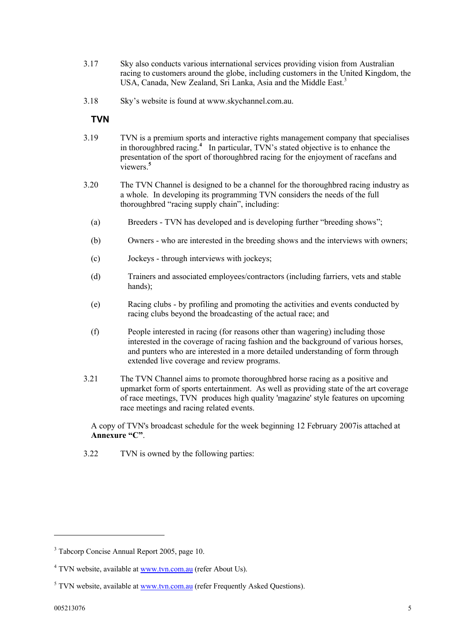- 3.17 Sky also conducts various international services providing vision from Australian racing to customers around the globe, including customers in the United Kingdom, the USA, Canada, New Zealand, Sri Lanka, Asia and the Middle East.<sup>3</sup>
- 3.18 Sky's website is found at <www.skychannel.com.au.>

### **TVN**

- 3.19 TVN is a premium sports and interactive rights management company that specialises in thoroughbred racing.**<sup>4</sup>** In particular, TVN's stated objective is to enhance the presentation of the sport of thoroughbred racing for the enjoyment of racefans and viewers.**<sup>5</sup>**
- 3.20 The TVN Channel is designed to be a channel for the thoroughbred racing industry as a whole. In developing its programming TVN considers the needs of the full thoroughbred "racing supply chain", including:
	- (a) Breeders TVN has developed and is developing further "breeding shows";
	- (b) Owners who are interested in the breeding shows and the interviews with owners;
	- (c) Jockeys through interviews with jockeys;
	- (d) Trainers and associated employees/contractors (including farriers, vets and stable hands);
	- (e) Racing clubs by profiling and promoting the activities and events conducted by racing clubs beyond the broadcasting of the actual race; and
	- (f) People interested in racing (for reasons other than wagering) including those interested in the coverage of racing fashion and the background of various horses, and punters who are interested in a more detailed understanding of form through extended live coverage and review programs.
- 3.21 The TVN Channel aims to promote thoroughbred horse racing as a positive and upmarket form of sports entertainment. As well as providing state of the art coverage of race meetings, TVN produces high quality 'magazine' style features on upcoming race meetings and racing related events.

A copy of TVN's broadcast schedule for the week beginning 12 February 2007is attached at **Annexure "C"**.

3.22 TVN is owned by the following parties:

<sup>3</sup> Tabcorp Concise Annual Report 2005, page 10.

 $4$  TVN website, available at <www.tvn.com.au> (refer About Us).

<sup>&</sup>lt;sup>5</sup> TVN website, available at <www.tvn.com.au> (refer Frequently Asked Questions).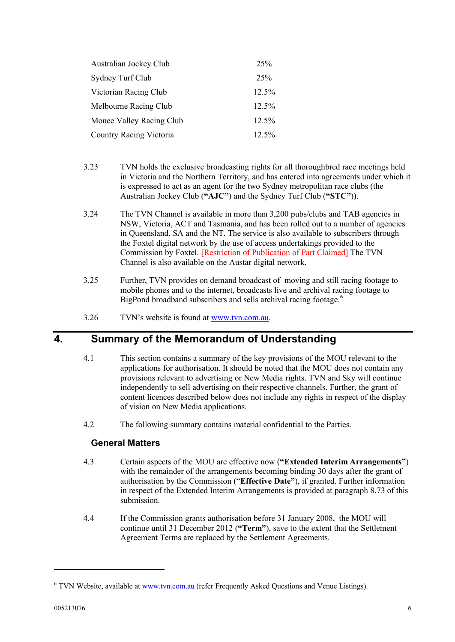| Australian Jockey Club   | 25%      |
|--------------------------|----------|
| Sydney Turf Club         | 25%      |
| Victorian Racing Club    | $12.5\%$ |
| Melbourne Racing Club    | $12.5\%$ |
| Monee Valley Racing Club | $12.5\%$ |
| Country Racing Victoria  | $12.5\%$ |

- 3.23 TVN holds the exclusive broadcasting rights for all thoroughbred race meetings held in Victoria and the Northern Territory, and has entered into agreements under which it is expressed to act as an agent for the two Sydney metropolitan race clubs (the Australian Jockey Club (**"AJC"**) and the Sydney Turf Club (**"STC"**)).
- 3.24 The TVN Channel is available in more than 3,200 pubs/clubs and TAB agencies in NSW, Victoria, ACT and Tasmania, and has been rolled out to a number of agencies in Queensland, SA and the NT. The service is also available to subscribers through the Foxtel digital network by the use of access undertakings provided to the Commission by Foxtel. [Restriction of Publication of Part Claimed] The TVN Channel is also available on the Austar digital network.
- 3.25 Further, TVN provides on demand broadcast of moving and still racing footage to mobile phones and to the internet, broadcasts live and archival racing footage to BigPond broadband subscribers and sells archival racing footage.**<sup>6</sup>**
- 3.26 TVN's website is found at [www.tvn.com.au.](www.tvn.com.au)

# **4. Summary of the Memorandum of Understanding**

- 4.1 This section contains a summary of the key provisions of the MOU relevant to the applications for authorisation. It should be noted that the MOU does not contain any provisions relevant to advertising or New Media rights. TVN and Sky will continue independently to sell advertising on their respective channels. Further, the grant of content licences described below does not include any rights in respect of the display of vision on New Media applications.
- 4.2 The following summary contains material confidential to the Parties.

### **General Matters**

- 4.3 Certain aspects of the MOU are effective now (**"Extended Interim Arrangements"**) with the remainder of the arrangements becoming binding 30 days after the grant of authorisation by the Commission ("**Effective Date"**), if granted. Further information in respect of the Extended Interim Arrangements is provided at paragraph 8.73 of this submission.
- 4.4 If the Commission grants authorisation before 31 January 2008, the MOU will continue until 31 December 2012 (**"Term"**), save to the extent that the Settlement Agreement Terms are replaced by the Settlement Agreements.

<sup>6</sup> TVN Website, available at <www.tvn.com.au> (refer Frequently Asked Questions and Venue Listings).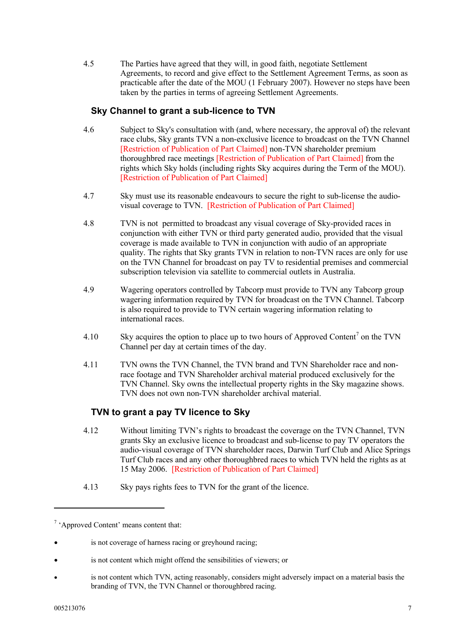4.5 The Parties have agreed that they will, in good faith, negotiate Settlement Agreements, to record and give effect to the Settlement Agreement Terms, as soon as practicable after the date of the MOU (1 February 2007). However no steps have been taken by the parties in terms of agreeing Settlement Agreements.

### **Sky Channel to grant a sub-licence to TVN**

- 4.6 Subject to Sky's consultation with (and, where necessary, the approval of) the relevant race clubs, Sky grants TVN a non-exclusive licence to broadcast on the TVN Channel [Restriction of Publication of Part Claimed] non-TVN shareholder premium thoroughbred race meetings [Restriction of Publication of Part Claimed] from the rights which Sky holds (including rights Sky acquires during the Term of the MOU). [Restriction of Publication of Part Claimed]
- 4.7 Sky must use its reasonable endeavours to secure the right to sub-license the audiovisual coverage to TVN. [Restriction of Publication of Part Claimed]
- 4.8 TVN is not permitted to broadcast any visual coverage of Sky-provided races in conjunction with either TVN or third party generated audio, provided that the visual coverage is made available to TVN in conjunction with audio of an appropriate quality. The rights that Sky grants TVN in relation to non-TVN races are only for use on the TVN Channel for broadcast on pay TV to residential premises and commercial subscription television via satellite to commercial outlets in Australia.
- 4.9 Wagering operators controlled by Tabcorp must provide to TVN any Tabcorp group wagering information required by TVN for broadcast on the TVN Channel. Tabcorp is also required to provide to TVN certain wagering information relating to international races.
- 4.10 Sky acquires the option to place up to two hours of Approved Content<sup>7</sup> on the TVN Channel per day at certain times of the day.
- 4.11 TVN owns the TVN Channel, the TVN brand and TVN Shareholder race and nonrace footage and TVN Shareholder archival material produced exclusively for the TVN Channel. Sky owns the intellectual property rights in the Sky magazine shows. TVN does not own non-TVN shareholder archival material.

### **TVN to grant a pay TV licence to Sky**

- 4.12 Without limiting TVN's rights to broadcast the coverage on the TVN Channel, TVN grants Sky an exclusive licence to broadcast and sub-license to pay TV operators the audio-visual coverage of TVN shareholder races, Darwin Turf Club and Alice Springs Turf Club races and any other thoroughbred races to which TVN held the rights as at 15 May 2006. [Restriction of Publication of Part Claimed]
- 4.13 Sky pays rights fees to TVN for the grant of the licence.

- is not coverage of harness racing or greyhound racing;
- is not content which might offend the sensibilities of viewers; or
- is not content which TVN, acting reasonably, considers might adversely impact on a material basis the branding of TVN, the TVN Channel or thoroughbred racing.

<sup>&</sup>lt;sup>7</sup> 'Approved Content' means content that: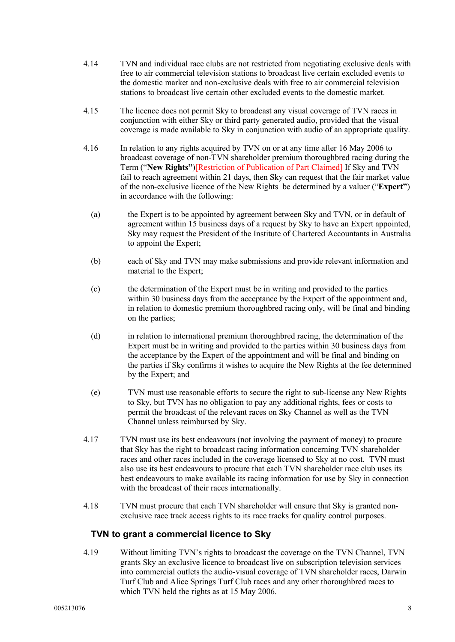- 4.14 TVN and individual race clubs are not restricted from negotiating exclusive deals with free to air commercial television stations to broadcast live certain excluded events to the domestic market and non-exclusive deals with free to air commercial television stations to broadcast live certain other excluded events to the domestic market.
- 4.15 The licence does not permit Sky to broadcast any visual coverage of TVN races in conjunction with either Sky or third party generated audio, provided that the visual coverage is made available to Sky in conjunction with audio of an appropriate quality.
- 4.16 In relation to any rights acquired by TVN on or at any time after 16 May 2006 to broadcast coverage of non-TVN shareholder premium thoroughbred racing during the Term ("**New Rights"**)[Restriction of Publication of Part Claimed] If Sky and TVN fail to reach agreement within 21 days, then Sky can request that the fair market value of the non-exclusive licence of the New Rights be determined by a valuer ("**Expert"**) in accordance with the following:
	- (a) the Expert is to be appointed by agreement between Sky and TVN, or in default of agreement within 15 business days of a request by Sky to have an Expert appointed, Sky may request the President of the Institute of Chartered Accountants in Australia to appoint the Expert;
	- (b) each of Sky and TVN may make submissions and provide relevant information and material to the Expert;
	- (c) the determination of the Expert must be in writing and provided to the parties within 30 business days from the acceptance by the Expert of the appointment and, in relation to domestic premium thoroughbred racing only, will be final and binding on the parties;
	- (d) in relation to international premium thoroughbred racing, the determination of the Expert must be in writing and provided to the parties within 30 business days from the acceptance by the Expert of the appointment and will be final and binding on the parties if Sky confirms it wishes to acquire the New Rights at the fee determined by the Expert; and
	- (e) TVN must use reasonable efforts to secure the right to sub-license any New Rights to Sky, but TVN has no obligation to pay any additional rights, fees or costs to permit the broadcast of the relevant races on Sky Channel as well as the TVN Channel unless reimbursed by Sky.
- 4.17 TVN must use its best endeavours (not involving the payment of money) to procure that Sky has the right to broadcast racing information concerning TVN shareholder races and other races included in the coverage licensed to Sky at no cost. TVN must also use its best endeavours to procure that each TVN shareholder race club uses its best endeavours to make available its racing information for use by Sky in connection with the broadcast of their races internationally.
- 4.18 TVN must procure that each TVN shareholder will ensure that Sky is granted nonexclusive race track access rights to its race tracks for quality control purposes.

### **TVN to grant a commercial licence to Sky**

4.19 Without limiting TVN's rights to broadcast the coverage on the TVN Channel, TVN grants Sky an exclusive licence to broadcast live on subscription television services into commercial outlets the audio-visual coverage of TVN shareholder races, Darwin Turf Club and Alice Springs Turf Club races and any other thoroughbred races to which TVN held the rights as at 15 May 2006.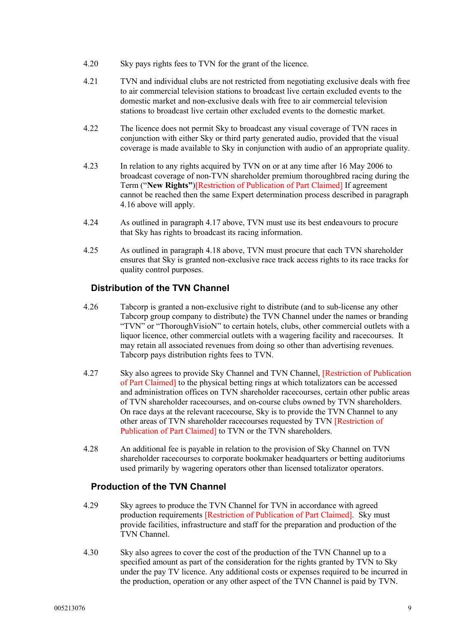- 4.20 Sky pays rights fees to TVN for the grant of the licence.
- 4.21 TVN and individual clubs are not restricted from negotiating exclusive deals with free to air commercial television stations to broadcast live certain excluded events to the domestic market and non-exclusive deals with free to air commercial television stations to broadcast live certain other excluded events to the domestic market.
- 4.22 The licence does not permit Sky to broadcast any visual coverage of TVN races in conjunction with either Sky or third party generated audio, provided that the visual coverage is made available to Sky in conjunction with audio of an appropriate quality.
- 4.23 In relation to any rights acquired by TVN on or at any time after 16 May 2006 to broadcast coverage of non-TVN shareholder premium thoroughbred racing during the Term ("**New Rights"**)[Restriction of Publication of Part Claimed] If agreement cannot be reached then the same Expert determination process described in paragraph 4.16 above will apply.
- 4.24 As outlined in paragraph 4.17 above, TVN must use its best endeavours to procure that Sky has rights to broadcast its racing information.
- 4.25 As outlined in paragraph 4.18 above, TVN must procure that each TVN shareholder ensures that Sky is granted non-exclusive race track access rights to its race tracks for quality control purposes.

### **Distribution of the TVN Channel**

- 4.26 Tabcorp is granted a non-exclusive right to distribute (and to sub-license any other Tabcorp group company to distribute) the TVN Channel under the names or branding "TVN" or "ThoroughVisioN" to certain hotels, clubs, other commercial outlets with a liquor licence, other commercial outlets with a wagering facility and racecourses. It may retain all associated revenues from doing so other than advertising revenues. Tabcorp pays distribution rights fees to TVN.
- 4.27 Sky also agrees to provide Sky Channel and TVN Channel, [Restriction of Publication of Part Claimed] to the physical betting rings at which totalizators can be accessed and administration offices on TVN shareholder racecourses, certain other public areas of TVN shareholder racecourses, and on-course clubs owned by TVN shareholders. On race days at the relevant racecourse, Sky is to provide the TVN Channel to any other areas of TVN shareholder racecourses requested by TVN [Restriction of Publication of Part Claimed] to TVN or the TVN shareholders.
- 4.28 An additional fee is payable in relation to the provision of Sky Channel on TVN shareholder racecourses to corporate bookmaker headquarters or betting auditoriums used primarily by wagering operators other than licensed totalizator operators.

### **Production of the TVN Channel**

- 4.29 Sky agrees to produce the TVN Channel for TVN in accordance with agreed production requirements [Restriction of Publication of Part Claimed]. Sky must provide facilities, infrastructure and staff for the preparation and production of the TVN Channel.
- 4.30 Sky also agrees to cover the cost of the production of the TVN Channel up to a specified amount as part of the consideration for the rights granted by TVN to Sky under the pay TV licence. Any additional costs or expenses required to be incurred in the production, operation or any other aspect of the TVN Channel is paid by TVN.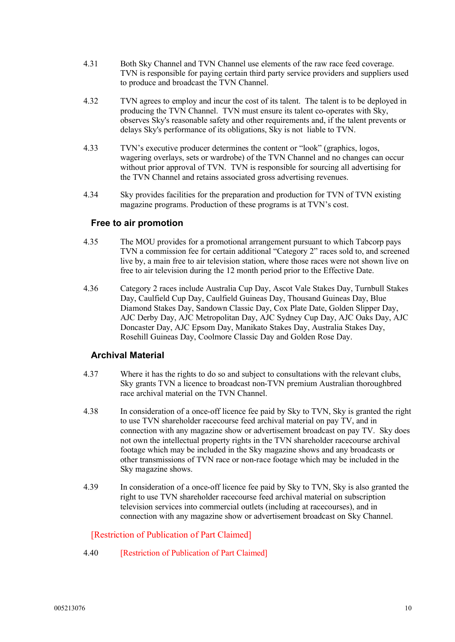- 4.31 Both Sky Channel and TVN Channel use elements of the raw race feed coverage. TVN is responsible for paying certain third party service providers and suppliers used to produce and broadcast the TVN Channel.
- 4.32 TVN agrees to employ and incur the cost of its talent. The talent is to be deployed in producing the TVN Channel. TVN must ensure its talent co-operates with Sky, observes Sky's reasonable safety and other requirements and, if the talent prevents or delays Sky's performance of its obligations, Sky is not liable to TVN.
- 4.33 TVN's executive producer determines the content or "look" (graphics, logos, wagering overlays, sets or wardrobe) of the TVN Channel and no changes can occur without prior approval of TVN. TVN is responsible for sourcing all advertising for the TVN Channel and retains associated gross advertising revenues.
- 4.34 Sky provides facilities for the preparation and production for TVN of TVN existing magazine programs. Production of these programs is at TVN's cost.

### **Free to air promotion**

- 4.35 The MOU provides for a promotional arrangement pursuant to which Tabcorp pays TVN a commission fee for certain additional "Category 2" races sold to, and screened live by, a main free to air television station, where those races were not shown live on free to air television during the 12 month period prior to the Effective Date.
- 4.36 Category 2 races include Australia Cup Day, Ascot Vale Stakes Day, Turnbull Stakes Day, Caulfield Cup Day, Caulfield Guineas Day, Thousand Guineas Day, Blue Diamond Stakes Day, Sandown Classic Day, Cox Plate Date, Golden Slipper Day, AJC Derby Day, AJC Metropolitan Day, AJC Sydney Cup Day, AJC Oaks Day, AJC Doncaster Day, AJC Epsom Day, Manikato Stakes Day, Australia Stakes Day, Rosehill Guineas Day, Coolmore Classic Day and Golden Rose Day.

### **Archival Material**

- 4.37 Where it has the rights to do so and subject to consultations with the relevant clubs, Sky grants TVN a licence to broadcast non-TVN premium Australian thoroughbred race archival material on the TVN Channel.
- 4.38 In consideration of a once-off licence fee paid by Sky to TVN, Sky is granted the right to use TVN shareholder racecourse feed archival material on pay TV, and in connection with any magazine show or advertisement broadcast on pay TV. Sky does not own the intellectual property rights in the TVN shareholder racecourse archival footage which may be included in the Sky magazine shows and any broadcasts or other transmissions of TVN race or non-race footage which may be included in the Sky magazine shows.
- 4.39 In consideration of a once-off licence fee paid by Sky to TVN, Sky is also granted the right to use TVN shareholder racecourse feed archival material on subscription television services into commercial outlets (including at racecourses), and in connection with any magazine show or advertisement broadcast on Sky Channel.

### [Restriction of Publication of Part Claimed]

4.40 [Restriction of Publication of Part Claimed]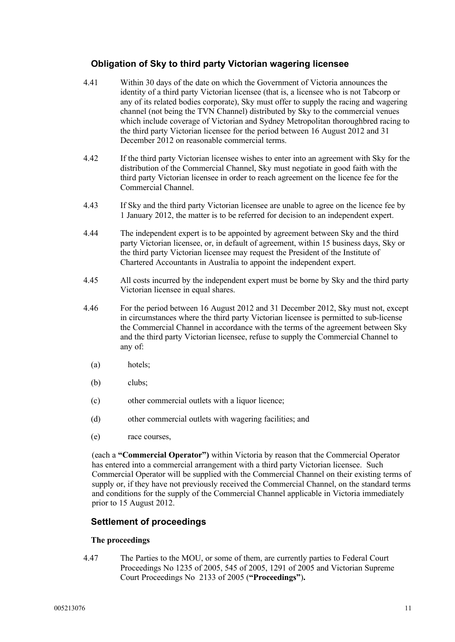### **Obligation of Sky to third party Victorian wagering licensee**

- 4.41 Within 30 days of the date on which the Government of Victoria announces the identity of a third party Victorian licensee (that is, a licensee who is not Tabcorp or any of its related bodies corporate), Sky must offer to supply the racing and wagering channel (not being the TVN Channel) distributed by Sky to the commercial venues which include coverage of Victorian and Sydney Metropolitan thoroughbred racing to the third party Victorian licensee for the period between 16 August 2012 and 31 December 2012 on reasonable commercial terms.
- 4.42 If the third party Victorian licensee wishes to enter into an agreement with Sky for the distribution of the Commercial Channel, Sky must negotiate in good faith with the third party Victorian licensee in order to reach agreement on the licence fee for the Commercial Channel.
- 4.43 If Sky and the third party Victorian licensee are unable to agree on the licence fee by 1 January 2012, the matter is to be referred for decision to an independent expert.
- 4.44 The independent expert is to be appointed by agreement between Sky and the third party Victorian licensee, or, in default of agreement, within 15 business days, Sky or the third party Victorian licensee may request the President of the Institute of Chartered Accountants in Australia to appoint the independent expert.
- 4.45 All costs incurred by the independent expert must be borne by Sky and the third party Victorian licensee in equal shares.
- 4.46 For the period between 16 August 2012 and 31 December 2012, Sky must not, except in circumstances where the third party Victorian licensee is permitted to sub-license the Commercial Channel in accordance with the terms of the agreement between Sky and the third party Victorian licensee, refuse to supply the Commercial Channel to any of:
	- (a) hotels;
	- (b) clubs;
	- (c) other commercial outlets with a liquor licence;
	- (d) other commercial outlets with wagering facilities; and
	- (e) race courses,

(each a **"Commercial Operator")** within Victoria by reason that the Commercial Operator has entered into a commercial arrangement with a third party Victorian licensee. Such Commercial Operator will be supplied with the Commercial Channel on their existing terms of supply or, if they have not previously received the Commercial Channel, on the standard terms and conditions for the supply of the Commercial Channel applicable in Victoria immediately prior to 15 August 2012.

### **Settlement of proceedings**

#### **The proceedings**

4.47 The Parties to the MOU, or some of them, are currently parties to Federal Court Proceedings No 1235 of 2005, 545 of 2005, 1291 of 2005 and Victorian Supreme Court Proceedings No 2133 of 2005 (**"Proceedings"**)**.**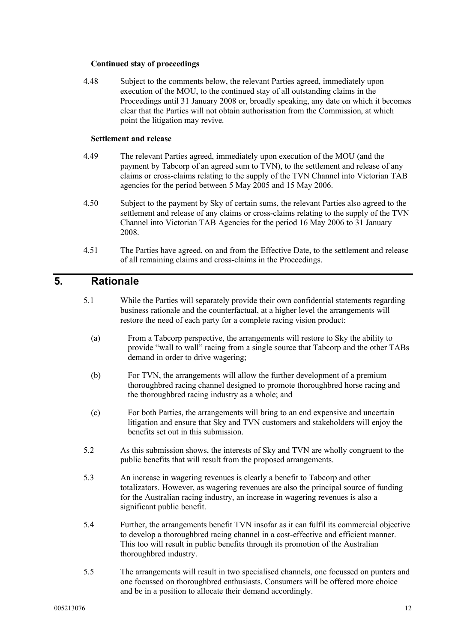#### **Continued stay of proceedings**

4.48 Subject to the comments below, the relevant Parties agreed, immediately upon execution of the MOU, to the continued stay of all outstanding claims in the Proceedings until 31 January 2008 or, broadly speaking, any date on which it becomes clear that the Parties will not obtain authorisation from the Commission, at which point the litigation may revive.

#### **Settlement and release**

- 4.49 The relevant Parties agreed, immediately upon execution of the MOU (and the payment by Tabcorp of an agreed sum to TVN), to the settlement and release of any claims or cross-claims relating to the supply of the TVN Channel into Victorian TAB agencies for the period between 5 May 2005 and 15 May 2006.
- 4.50 Subject to the payment by Sky of certain sums, the relevant Parties also agreed to the settlement and release of any claims or cross-claims relating to the supply of the TVN Channel into Victorian TAB Agencies for the period 16 May 2006 to 31 January 2008.
- 4.51 The Parties have agreed, on and from the Effective Date, to the settlement and release of all remaining claims and cross-claims in the Proceedings.

## **5. Rationale**

- 5.1 While the Parties will separately provide their own confidential statements regarding business rationale and the counterfactual, at a higher level the arrangements will restore the need of each party for a complete racing vision product:
	- (a) From a Tabcorp perspective, the arrangements will restore to Sky the ability to provide "wall to wall" racing from a single source that Tabcorp and the other TABs demand in order to drive wagering;
	- (b) For TVN, the arrangements will allow the further development of a premium thoroughbred racing channel designed to promote thoroughbred horse racing and the thoroughbred racing industry as a whole; and
	- (c) For both Parties, the arrangements will bring to an end expensive and uncertain litigation and ensure that Sky and TVN customers and stakeholders will enjoy the benefits set out in this submission.
- 5.2 As this submission shows, the interests of Sky and TVN are wholly congruent to the public benefits that will result from the proposed arrangements.
- 5.3 An increase in wagering revenues is clearly a benefit to Tabcorp and other totalizators. However, as wagering revenues are also the principal source of funding for the Australian racing industry, an increase in wagering revenues is also a significant public benefit.
- 5.4 Further, the arrangements benefit TVN insofar as it can fulfil its commercial objective to develop a thoroughbred racing channel in a cost-effective and efficient manner. This too will result in public benefits through its promotion of the Australian thoroughbred industry.
- 5.5 The arrangements will result in two specialised channels, one focussed on punters and one focussed on thoroughbred enthusiasts. Consumers will be offered more choice and be in a position to allocate their demand accordingly.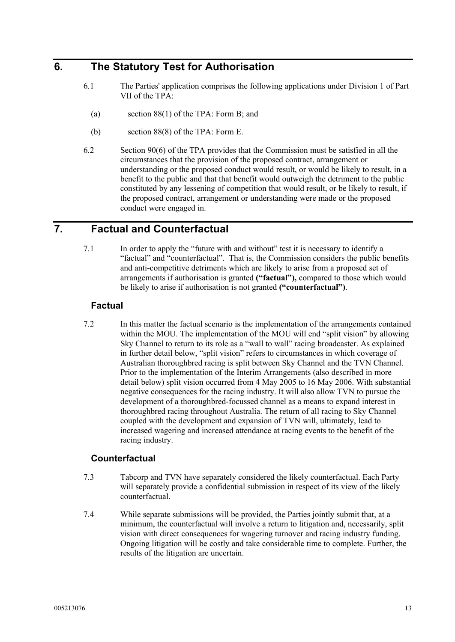# **6. The Statutory Test for Authorisation**

- 6.1 The Parties' application comprises the following applications under Division 1 of Part VII of the  $TP\overrightarrow{A}$ :
	- (a) section 88(1) of the TPA: Form B; and
	- (b) section 88(8) of the TPA: Form E.
- 6.2 Section 90(6) of the TPA provides that the Commission must be satisfied in all the circumstances that the provision of the proposed contract, arrangement or understanding or the proposed conduct would result, or would be likely to result, in a benefit to the public and that that benefit would outweigh the detriment to the public constituted by any lessening of competition that would result, or be likely to result, if the proposed contract, arrangement or understanding were made or the proposed conduct were engaged in.

## **7. Factual and Counterfactual**

7.1 In order to apply the "future with and without" test it is necessary to identify a "factual" and "counterfactual". That is, the Commission considers the public benefits and anti-competitive detriments which are likely to arise from a proposed set of arrangements if authorisation is granted **("factual"),** compared to those which would be likely to arise if authorisation is not granted **("counterfactual")**.

### **Factual**

7.2 In this matter the factual scenario is the implementation of the arrangements contained within the MOU. The implementation of the MOU will end "split vision" by allowing Sky Channel to return to its role as a "wall to wall" racing broadcaster. As explained in further detail below, "split vision" refers to circumstances in which coverage of Australian thoroughbred racing is split between Sky Channel and the TVN Channel. Prior to the implementation of the Interim Arrangements (also described in more detail below) split vision occurred from 4 May 2005 to 16 May 2006. With substantial negative consequences for the racing industry. It will also allow TVN to pursue the development of a thoroughbred-focussed channel as a means to expand interest in thoroughbred racing throughout Australia. The return of all racing to Sky Channel coupled with the development and expansion of TVN will, ultimately, lead to increased wagering and increased attendance at racing events to the benefit of the racing industry.

### **Counterfactual**

- 7.3 Tabcorp and TVN have separately considered the likely counterfactual. Each Party will separately provide a confidential submission in respect of its view of the likely counterfactual.
- 7.4 While separate submissions will be provided, the Parties jointly submit that, at a minimum, the counterfactual will involve a return to litigation and, necessarily, split vision with direct consequences for wagering turnover and racing industry funding. Ongoing litigation will be costly and take considerable time to complete. Further, the results of the litigation are uncertain.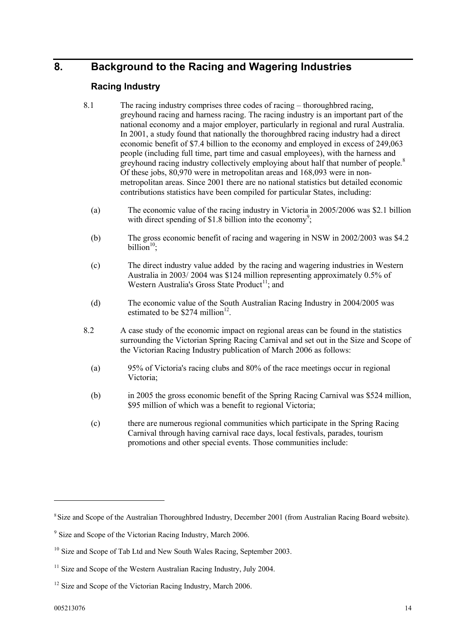# **8. Background to the Racing and Wagering Industries**

### **Racing Industry**

- 8.1 The racing industry comprises three codes of racing thoroughbred racing, greyhound racing and harness racing. The racing industry is an important part of the national economy and a major employer, particularly in regional and rural Australia. In 2001, a study found that nationally the thoroughbred racing industry had a direct economic benefit of \$7.4 billion to the economy and employed in excess of 249,063 people (including full time, part time and casual employees), with the harness and greyhound racing industry collectively employing about half that number of people.<sup>8</sup> Of these jobs, 80,970 were in metropolitan areas and 168,093 were in nonmetropolitan areas. Since 2001 there are no national statistics but detailed economic contributions statistics have been compiled for particular States, including:
	- (a) The economic value of the racing industry in Victoria in 2005/2006 was \$2.1 billion with direct spending of \$1.8 billion into the economy<sup>9</sup>;
	- (b) The gross economic benefit of racing and wagering in NSW in 2002/2003 was \$4.2 billion $10$ :
	- (c) The direct industry value added by the racing and wagering industries in Western Australia in 2003/ 2004 was \$124 million representing approximately 0.5% of Western Australia's Gross State Product<sup>11</sup>; and
	- (d) The economic value of the South Australian Racing Industry in 2004/2005 was estimated to be  $$274$  million<sup>12</sup>.
- 8.2 A case study of the economic impact on regional areas can be found in the statistics surrounding the Victorian Spring Racing Carnival and set out in the Size and Scope of the Victorian Racing Industry publication of March 2006 as follows:
	- (a) 95% of Victoria's racing clubs and 80% of the race meetings occur in regional Victoria;
	- (b) in 2005 the gross economic benefit of the Spring Racing Carnival was \$524 million, \$95 million of which was a benefit to regional Victoria;
	- (c) there are numerous regional communities which participate in the Spring Racing Carnival through having carnival race days, local festivals, parades, tourism promotions and other special events. Those communities include:

<sup>&</sup>lt;sup>8</sup> Size and Scope of the Australian Thoroughbred Industry, December 2001 (from Australian Racing Board website).

<sup>&</sup>lt;sup>9</sup> Size and Scope of the Victorian Racing Industry, March 2006.

<sup>&</sup>lt;sup>10</sup> Size and Scope of Tab Ltd and New South Wales Racing, September 2003.

 $11$  Size and Scope of the Western Australian Racing Industry, July 2004.

<sup>&</sup>lt;sup>12</sup> Size and Scope of the Victorian Racing Industry, March 2006.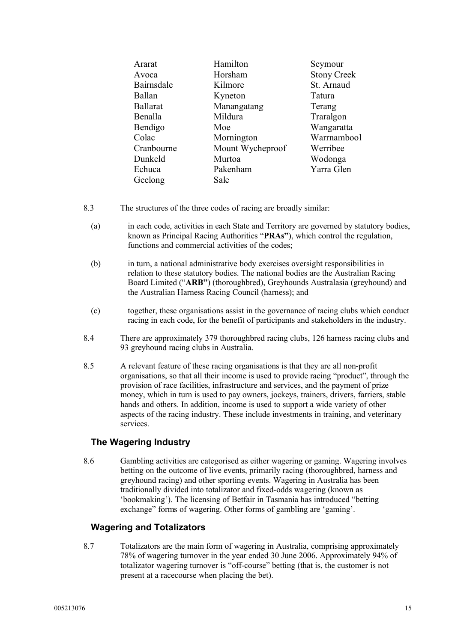| Ararat          | Hamilton         | Seymour            |
|-----------------|------------------|--------------------|
| Avoca           | Horsham          | <b>Stony Creek</b> |
| Bairnsdale      | Kilmore          | St. Arnaud         |
| Ballan          | Kyneton          | Tatura             |
| <b>Ballarat</b> | Manangatang      | Terang             |
| Benalla         | Mildura          | Traralgon          |
| Bendigo         | Moe              | Wangaratta         |
| Colac           | Mornington       | Warrnambool        |
| Cranbourne      | Mount Wycheproof | Werribee           |
| Dunkeld         | Murtoa           | Wodonga            |
| Echuca          | Pakenham         | Yarra Glen         |
| Geelong         | Sale             |                    |
|                 |                  |                    |

- 8.3 The structures of the three codes of racing are broadly similar:
	- (a) in each code, activities in each State and Territory are governed by statutory bodies, known as Principal Racing Authorities "**PRAs"**), which control the regulation, functions and commercial activities of the codes;
	- (b) in turn, a national administrative body exercises oversight responsibilities in relation to these statutory bodies. The national bodies are the Australian Racing Board Limited ("**ARB"**) (thoroughbred), Greyhounds Australasia (greyhound) and the Australian Harness Racing Council (harness); and
	- (c) together, these organisations assist in the governance of racing clubs which conduct racing in each code, for the benefit of participants and stakeholders in the industry.
- 8.4 There are approximately 379 thoroughbred racing clubs, 126 harness racing clubs and 93 greyhound racing clubs in Australia.
- 8.5 A relevant feature of these racing organisations is that they are all non-profit organisations, so that all their income is used to provide racing "product", through the provision of race facilities, infrastructure and services, and the payment of prize money, which in turn is used to pay owners, jockeys, trainers, drivers, farriers, stable hands and others. In addition, income is used to support a wide variety of other aspects of the racing industry. These include investments in training, and veterinary services.

### **The Wagering Industry**

8.6 Gambling activities are categorised as either wagering or gaming. Wagering involves betting on the outcome of live events, primarily racing (thoroughbred, harness and greyhound racing) and other sporting events. Wagering in Australia has been traditionally divided into totalizator and fixed-odds wagering (known as 'bookmaking'). The licensing of Betfair in Tasmania has introduced "betting exchange" forms of wagering. Other forms of gambling are 'gaming'.

### **Wagering and Totalizators**

8.7 Totalizators are the main form of wagering in Australia, comprising approximately 78% of wagering turnover in the year ended 30 June 2006. Approximately 94% of totalizator wagering turnover is "off-course" betting (that is, the customer is not present at a racecourse when placing the bet).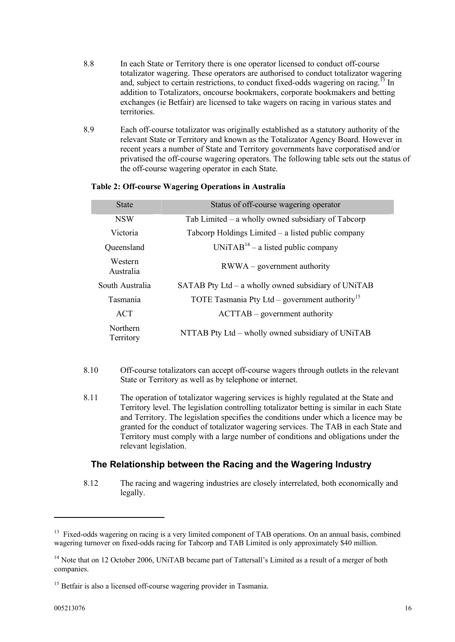- 8.8 In each State or Territory there is one operator licensed to conduct off-course totalizator wagering. These operators are authorised to conduct totalizator wagering and, subject to certain restrictions, to conduct fixed-odds wagering on racing.<sup>13</sup> In addition to Totalizators, oncourse bookmakers, corporate bookmakers and betting exchanges (ie Betfair) are licensed to take wagers on racing in various states and territories.
- 8.9 Each off-course totalizator was originally established as a statutory authority of the relevant State or Territory and known as the Totalizator Agency Board. However in recent years a number of State and Territory governments have corporatised and/or privatised the off-course wagering operators. The following table sets out the status of the off-course wagering operator in each State.

| <b>State</b>          | Status of off-course wagering operator                     |
|-----------------------|------------------------------------------------------------|
| <b>NSW</b>            | Tab Limited – a wholly owned subsidiary of Tabcorp         |
| Victoria              | Tabcorp Holdings Limited – a listed public company         |
| Queensland            | $UNITAB14 - a listed public company$                       |
| Western<br>Australia  | $RWWA - government authority$                              |
| South Australia       | SATAB Pty Ltd – a wholly owned subsidiary of UNITAB        |
| Tasmania              | TOTE Tasmania Pty Ltd – government authority <sup>15</sup> |
| <b>ACT</b>            | $ACTTAB - government authority$                            |
| Northern<br>Territory | NTTAB Pty Ltd – wholly owned subsidiary of UNITAB          |

#### **Table 2: Off-course Wagering Operations in Australia**

- 8.10 Off-course totalizators can accept off-course wagers through outlets in the relevant State or Territory as well as by telephone or internet.
- 8.11 The operation of totalizator wagering services is highly regulated at the State and Territory level. The legislation controlling totalizator betting is similar in each State and Territory. The legislation specifies the conditions under which a licence may be granted for the conduct of totalizator wagering services. The TAB in each State and Territory must comply with a large number of conditions and obligations under the relevant legislation.

### **The Relationship between the Racing and the Wagering Industry**

8.12 The racing and wagering industries are closely interrelated, both economically and legally.

<sup>&</sup>lt;sup>13</sup> Fixed-odds wagering on racing is a very limited component of TAB operations. On an annual basis, combined wagering turnover on fixed-odds racing for Tabcorp and TAB Limited is only approximately \$40 million.

<sup>&</sup>lt;sup>14</sup> Note that on 12 October 2006, UNiTAB became part of Tattersall's Limited as a result of a merger of both companies.

<sup>&</sup>lt;sup>15</sup> Betfair is also a licensed off-course wagering provider in Tasmania.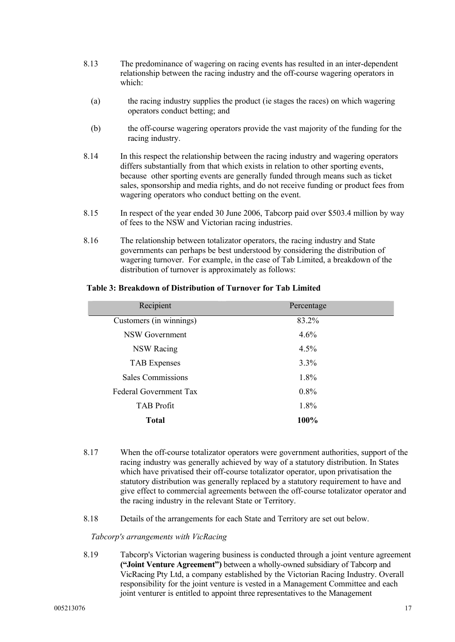- 8.13 The predominance of wagering on racing events has resulted in an inter-dependent relationship between the racing industry and the off-course wagering operators in which:
	- (a) the racing industry supplies the product (ie stages the races) on which wagering operators conduct betting; and
	- (b) the off-course wagering operators provide the vast majority of the funding for the racing industry.
- 8.14 In this respect the relationship between the racing industry and wagering operators differs substantially from that which exists in relation to other sporting events, because other sporting events are generally funded through means such as ticket sales, sponsorship and media rights, and do not receive funding or product fees from wagering operators who conduct betting on the event.
- 8.15 In respect of the year ended 30 June 2006, Tabcorp paid over \$503.4 million by way of fees to the NSW and Victorian racing industries.
- 8.16 The relationship between totalizator operators, the racing industry and State governments can perhaps be best understood by considering the distribution of wagering turnover. For example, in the case of Tab Limited, a breakdown of the distribution of turnover is approximately as follows:

| Recipient                | Percentage |
|--------------------------|------------|
| Customers (in winnings)  | 83.2%      |
| <b>NSW Government</b>    | 4.6%       |
| <b>NSW Racing</b>        | 4.5%       |
| <b>TAB</b> Expenses      | 3.3%       |
| <b>Sales Commissions</b> | 1.8%       |
| Federal Government Tax   | 0.8%       |
| <b>TAB Profit</b>        | 1.8%       |
| <b>Total</b>             | 100%       |

#### **Table 3: Breakdown of Distribution of Turnover for Tab Limited**

- 8.17 When the off-course totalizator operators were government authorities, support of the racing industry was generally achieved by way of a statutory distribution. In States which have privatised their off-course totalizator operator, upon privatisation the statutory distribution was generally replaced by a statutory requirement to have and give effect to commercial agreements between the off-course totalizator operator and the racing industry in the relevant State or Territory.
- 8.18 Details of the arrangements for each State and Territory are set out below.

*Tabcorp's arrangements with VicRacing*

8.19 Tabcorp's Victorian wagering business is conducted through a joint venture agreement **("Joint Venture Agreement")** between a wholly-owned subsidiary of Tabcorp and VicRacing Pty Ltd, a company established by the Victorian Racing Industry. Overall responsibility for the joint venture is vested in a Management Committee and each joint venturer is entitled to appoint three representatives to the Management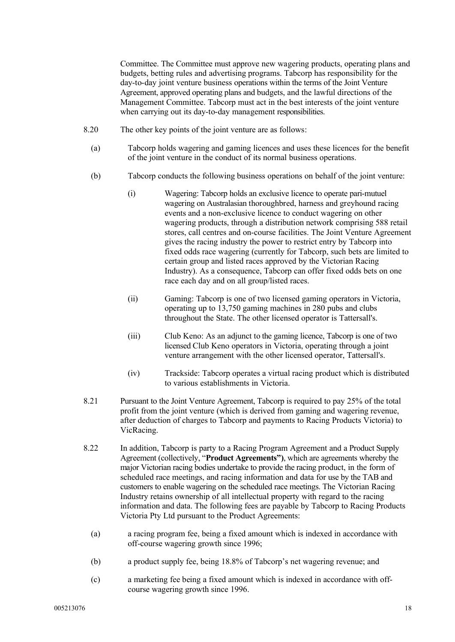Committee. The Committee must approve new wagering products, operating plans and budgets, betting rules and advertising programs. Tabcorp has responsibility for the day-to-day joint venture business operations within the terms of the Joint Venture Agreement, approved operating plans and budgets, and the lawful directions of the Management Committee. Tabcorp must act in the best interests of the joint venture when carrying out its day-to-day management responsibilities.

- 8.20 The other key points of the joint venture are as follows:
	- (a) Tabcorp holds wagering and gaming licences and uses these licences for the benefit of the joint venture in the conduct of its normal business operations.
	- (b) Tabcorp conducts the following business operations on behalf of the joint venture:
		- (i) Wagering: Tabcorp holds an exclusive licence to operate pari-mutuel wagering on Australasian thoroughbred, harness and greyhound racing events and a non-exclusive licence to conduct wagering on other wagering products, through a distribution network comprising 588 retail stores, call centres and on-course facilities. The Joint Venture Agreement gives the racing industry the power to restrict entry by Tabcorp into fixed odds race wagering (currently for Tabcorp, such bets are limited to certain group and listed races approved by the Victorian Racing Industry). As a consequence, Tabcorp can offer fixed odds bets on one race each day and on all group/listed races.
		- (ii) Gaming: Tabcorp is one of two licensed gaming operators in Victoria, operating up to 13,750 gaming machines in 280 pubs and clubs throughout the State. The other licensed operator is Tattersall's.
		- (iii) Club Keno: As an adjunct to the gaming licence, Tabcorp is one of two licensed Club Keno operators in Victoria, operating through a joint venture arrangement with the other licensed operator, Tattersall's.
		- (iv) Trackside: Tabcorp operates a virtual racing product which is distributed to various establishments in Victoria.
- 8.21 Pursuant to the Joint Venture Agreement, Tabcorp is required to pay 25% of the total profit from the joint venture (which is derived from gaming and wagering revenue, after deduction of charges to Tabcorp and payments to Racing Products Victoria) to VicRacing.
- 8.22 In addition, Tabcorp is party to a Racing Program Agreement and a Product Supply Agreement (collectively, "**Product Agreements")**, which are agreements whereby the major Victorian racing bodies undertake to provide the racing product, in the form of scheduled race meetings, and racing information and data for use by the TAB and customers to enable wagering on the scheduled race meetings. The Victorian Racing Industry retains ownership of all intellectual property with regard to the racing information and data. The following fees are payable by Tabcorp to Racing Products Victoria Pty Ltd pursuant to the Product Agreements:
	- (a) a racing program fee, being a fixed amount which is indexed in accordance with off-course wagering growth since 1996;
	- (b) a product supply fee, being 18.8% of Tabcorp's net wagering revenue; and
	- (c) a marketing fee being a fixed amount which is indexed in accordance with offcourse wagering growth since 1996.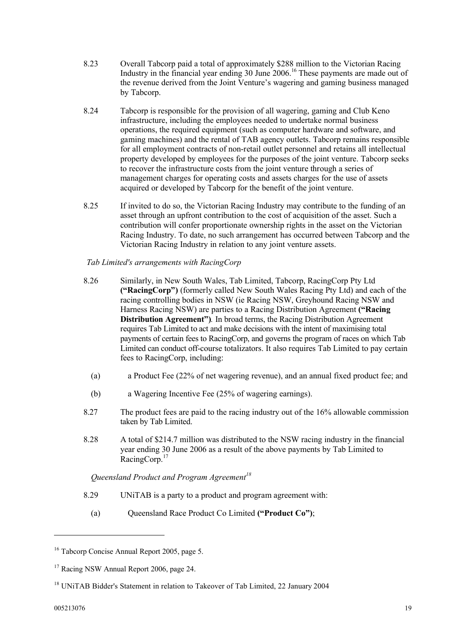- 8.23 Overall Tabcorp paid a total of approximately \$288 million to the Victorian Racing Industry in the financial year ending 30 June 2006.<sup>16</sup> These payments are made out of the revenue derived from the Joint Venture's wagering and gaming business managed by Tabcorp.
- 8.24 Tabcorp is responsible for the provision of all wagering, gaming and Club Keno infrastructure, including the employees needed to undertake normal business operations, the required equipment (such as computer hardware and software, and gaming machines) and the rental of TAB agency outlets. Tabcorp remains responsible for all employment contracts of non-retail outlet personnel and retains all intellectual property developed by employees for the purposes of the joint venture. Tabcorp seeks to recover the infrastructure costs from the joint venture through a series of management charges for operating costs and assets charges for the use of assets acquired or developed by Tabcorp for the benefit of the joint venture.
- 8.25 If invited to do so, the Victorian Racing Industry may contribute to the funding of an asset through an upfront contribution to the cost of acquisition of the asset. Such a contribution will confer proportionate ownership rights in the asset on the Victorian Racing Industry. To date, no such arrangement has occurred between Tabcorp and the Victorian Racing Industry in relation to any joint venture assets.

#### *Tab Limited's arrangements with RacingCorp*

- 8.26 Similarly, in New South Wales, Tab Limited, Tabcorp, RacingCorp Pty Ltd **("RacingCorp")** (formerly called New South Wales Racing Pty Ltd) and each of the racing controlling bodies in NSW (ie Racing NSW, Greyhound Racing NSW and Harness Racing NSW) are parties to a Racing Distribution Agreement **("Racing Distribution Agreement")***.* In broad terms, the Racing Distribution Agreement requires Tab Limited to act and make decisions with the intent of maximising total payments of certain fees to RacingCorp, and governs the program of races on which Tab Limited can conduct off-course totalizators. It also requires Tab Limited to pay certain fees to RacingCorp, including:
	- (a) a Product Fee (22% of net wagering revenue), and an annual fixed product fee; and
	- (b) a Wagering Incentive Fee (25% of wagering earnings).
- 8.27 The product fees are paid to the racing industry out of the 16% allowable commission taken by Tab Limited.
- 8.28 A total of \$214.7 million was distributed to the NSW racing industry in the financial year ending 30 June 2006 as a result of the above payments by Tab Limited to RacingCorp.<sup>17</sup>

*Queensland Product and Program Agreement<sup>18</sup>*

- 8.29 UNiTAB is a party to a product and program agreement with:
	- (a) Queensland Race Product Co Limited **("Product Co")**;

<sup>16</sup> Tabcorp Concise Annual Report 2005, page 5.

<sup>&</sup>lt;sup>17</sup> Racing NSW Annual Report 2006, page 24.

<sup>&</sup>lt;sup>18</sup> UNiTAB Bidder's Statement in relation to Takeover of Tab Limited, 22 January 2004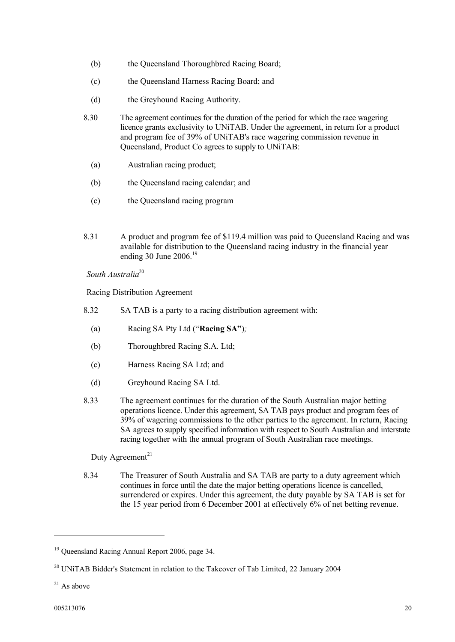- (b) the Queensland Thoroughbred Racing Board;
- (c) the Queensland Harness Racing Board; and
- (d) the Greyhound Racing Authority.
- 8.30 The agreement continues for the duration of the period for which the race wagering licence grants exclusivity to UNiTAB. Under the agreement, in return for a product and program fee of 39% of UNiTAB's race wagering commission revenue in Queensland, Product Co agrees to supply to UNiTAB:
	- (a) Australian racing product;
	- (b) the Queensland racing calendar; and
	- (c) the Queensland racing program
- 8.31 A product and program fee of \$119.4 million was paid to Queensland Racing and was available for distribution to the Queensland racing industry in the financial year ending 30 June 2006.<sup>19</sup>

*South Australia* 20

Racing Distribution Agreement

- 8.32 SA TAB is a party to a racing distribution agreement with:
	- (a) Racing SA Pty Ltd ("**Racing SA"**)*;*
	- (b) Thoroughbred Racing S.A. Ltd;
	- (c) Harness Racing SA Ltd; and
	- (d) Greyhound Racing SA Ltd.
- 8.33 The agreement continues for the duration of the South Australian major betting operations licence. Under this agreement, SA TAB pays product and program fees of 39% of wagering commissions to the other parties to the agreement. In return, Racing SA agrees to supply specified information with respect to South Australian and interstate racing together with the annual program of South Australian race meetings.

Duty Agreement<sup>21</sup>

8.34 The Treasurer of South Australia and SA TAB are party to a duty agreement which continues in force until the date the major betting operations licence is cancelled, surrendered or expires. Under this agreement, the duty payable by SA TAB is set for the 15 year period from 6 December 2001 at effectively 6% of net betting revenue.

<sup>19</sup> Queensland Racing Annual Report 2006, page 34.

 $20$  UNiTAB Bidder's Statement in relation to the Takeover of Tab Limited, 22 January 2004

 $21$  As above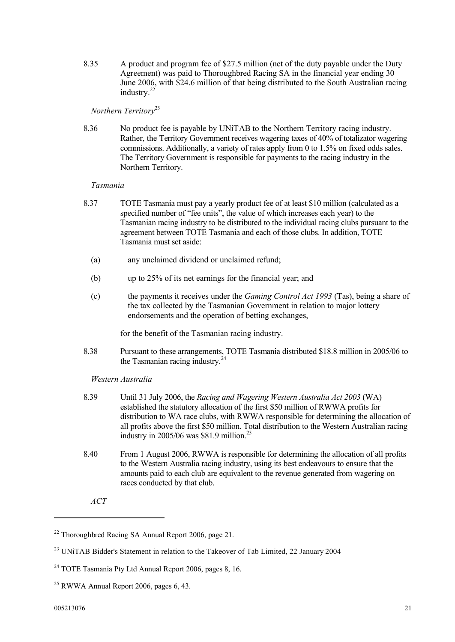8.35 A product and program fee of \$27.5 million (net of the duty payable under the Duty Agreement) was paid to Thoroughbred Racing SA in the financial year ending 30 June 2006, with \$24.6 million of that being distributed to the South Australian racing industry.<sup>22</sup>

*Northern Territory*<sup>23</sup>

8.36 No product fee is payable by UNiTAB to the Northern Territory racing industry. Rather, the Territory Government receives wagering taxes of 40% of totalizator wagering commissions. Additionally, a variety of rates apply from 0 to 1.5% on fixed odds sales. The Territory Government is responsible for payments to the racing industry in the Northern Territory.

#### *Tasmania*

- 8.37 TOTE Tasmania must pay a yearly product fee of at least \$10 million (calculated as a specified number of "fee units", the value of which increases each year) to the Tasmanian racing industry to be distributed to the individual racing clubs pursuant to the agreement between TOTE Tasmania and each of those clubs. In addition, TOTE Tasmania must set aside:
	- (a) any unclaimed dividend or unclaimed refund;
	- (b) up to 25% of its net earnings for the financial year; and
	- (c) the payments it receives under the *Gaming Control Act 1993* (Tas), being a share of the tax collected by the Tasmanian Government in relation to major lottery endorsements and the operation of betting exchanges,

for the benefit of the Tasmanian racing industry.

8.38 Pursuant to these arrangements, TOTE Tasmania distributed \$18.8 million in 2005/06 to the Tasmanian racing industry.<sup>24</sup>

*Western Australia*

- 8.39 Until 31 July 2006, the *Racing and Wagering Western Australia Act 2003* (WA) established the statutory allocation of the first \$50 million of RWWA profits for distribution to WA race clubs, with RWWA responsible for determining the allocation of all profits above the first \$50 million. Total distribution to the Western Australian racing industry in 2005/06 was \$81.9 million. 25
- 8.40 From 1 August 2006, RWWA is responsible for determining the allocation of all profits to the Western Australia racing industry, using its best endeavours to ensure that the amounts paid to each club are equivalent to the revenue generated from wagering on races conducted by that club.
	- *ACT*

<sup>&</sup>lt;sup>22</sup> Thoroughbred Racing SA Annual Report 2006, page 21.

<sup>&</sup>lt;sup>23</sup> UNITAB Bidder's Statement in relation to the Takeover of Tab Limited, 22 January 2004

<sup>&</sup>lt;sup>24</sup> TOTE Tasmania Pty Ltd Annual Report 2006, pages 8, 16.

 $25$  RWWA Annual Report 2006, pages 6, 43.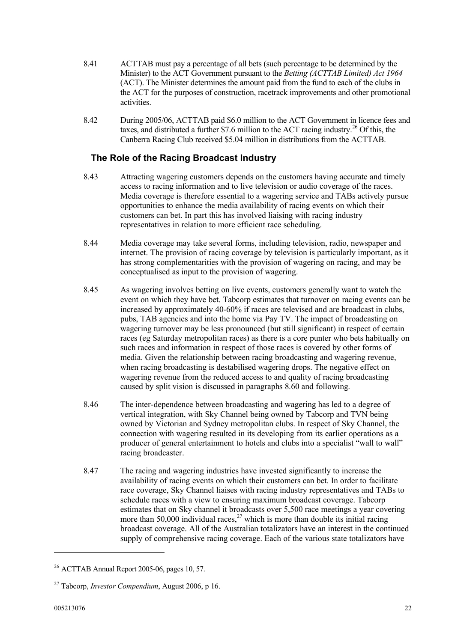- 8.41 ACTTAB must pay a percentage of all bets (such percentage to be determined by the Minister) to the ACT Government pursuant to the *Betting (ACTTAB Limited) Act 1964* (ACT). The Minister determines the amount paid from the fund to each of the clubs in the ACT for the purposes of construction, racetrack improvements and other promotional activities.
- 8.42 During 2005/06, ACTTAB paid \$6.0 million to the ACT Government in licence fees and taxes, and distributed a further \$7.6 million to the ACT racing industry.<sup>26</sup> Of this, the Canberra Racing Club received \$5.04 million in distributions from the ACTTAB.

### **The Role of the Racing Broadcast Industry**

- 8.43 Attracting wagering customers depends on the customers having accurate and timely access to racing information and to live television or audio coverage of the races. Media coverage is therefore essential to a wagering service and TABs actively pursue opportunities to enhance the media availability of racing events on which their customers can bet. In part this has involved liaising with racing industry representatives in relation to more efficient race scheduling.
- 8.44 Media coverage may take several forms, including television, radio, newspaper and internet. The provision of racing coverage by television is particularly important, as it has strong complementarities with the provision of wagering on racing, and may be conceptualised as input to the provision of wagering.
- 8.45 As wagering involves betting on live events, customers generally want to watch the event on which they have bet. Tabcorp estimates that turnover on racing events can be increased by approximately 40-60% if races are televised and are broadcast in clubs, pubs, TAB agencies and into the home via Pay TV. The impact of broadcasting on wagering turnover may be less pronounced (but still significant) in respect of certain races (eg Saturday metropolitan races) as there is a core punter who bets habitually on such races and information in respect of those races is covered by other forms of media. Given the relationship between racing broadcasting and wagering revenue, when racing broadcasting is destabilised wagering drops. The negative effect on wagering revenue from the reduced access to and quality of racing broadcasting caused by split vision is discussed in paragraphs 8.60 and following.
- 8.46 The inter-dependence between broadcasting and wagering has led to a degree of vertical integration, with Sky Channel being owned by Tabcorp and TVN being owned by Victorian and Sydney metropolitan clubs. In respect of Sky Channel, the connection with wagering resulted in its developing from its earlier operations as a producer of general entertainment to hotels and clubs into a specialist "wall to wall" racing broadcaster.
- 8.47 The racing and wagering industries have invested significantly to increase the availability of racing events on which their customers can bet. In order to facilitate race coverage, Sky Channel liaises with racing industry representatives and TABs to schedule races with a view to ensuring maximum broadcast coverage. Tabcorp estimates that on Sky channel it broadcasts over 5,500 race meetings a year covering more than 50,000 individual races,<sup>27</sup> which is more than double its initial racing broadcast coverage. All of the Australian totalizators have an interest in the continued supply of comprehensive racing coverage. Each of the various state totalizators have

 $26$  ACTTAB Annual Report 2005-06, pages 10, 57.

<sup>27</sup> Tabcorp, *Investor Compendium*, August 2006, p 16.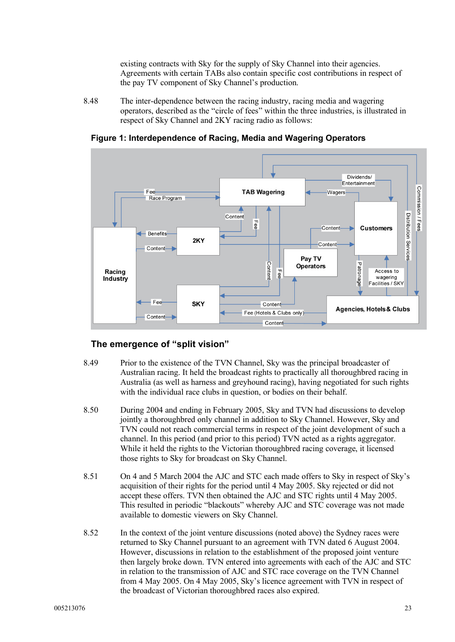existing contracts with Sky for the supply of Sky Channel into their agencies. Agreements with certain TABs also contain specific cost contributions in respect of the pay TV component of Sky Channel's production.

8.48 The inter-dependence between the racing industry, racing media and wagering operators, described as the "circle of fees" within the three industries, is illustrated in respect of Sky Channel and 2KY racing radio as follows:

**Figure 1: Interdependence of Racing, Media and Wagering Operators**



### **The emergence of "split vision"**

- 8.49 Prior to the existence of the TVN Channel, Sky was the principal broadcaster of Australian racing. It held the broadcast rights to practically all thoroughbred racing in Australia (as well as harness and greyhound racing), having negotiated for such rights with the individual race clubs in question, or bodies on their behalf.
- 8.50 During 2004 and ending in February 2005, Sky and TVN had discussions to develop jointly a thoroughbred only channel in addition to Sky Channel. However, Sky and TVN could not reach commercial terms in respect of the joint development of such a channel. In this period (and prior to this period) TVN acted as a rights aggregator. While it held the rights to the Victorian thoroughbred racing coverage, it licensed those rights to Sky for broadcast on Sky Channel.
- 8.51 On 4 and 5 March 2004 the AJC and STC each made offers to Sky in respect of Sky's acquisition of their rights for the period until 4 May 2005. Sky rejected or did not accept these offers. TVN then obtained the AJC and STC rights until 4 May 2005. This resulted in periodic "blackouts" whereby AJC and STC coverage was not made available to domestic viewers on Sky Channel.
- 8.52 In the context of the joint venture discussions (noted above) the Sydney races were returned to Sky Channel pursuant to an agreement with TVN dated 6 August 2004. However, discussions in relation to the establishment of the proposed joint venture then largely broke down. TVN entered into agreements with each of the AJC and STC in relation to the transmission of AJC and STC race coverage on the TVN Channel from 4 May 2005. On 4 May 2005, Sky's licence agreement with TVN in respect of the broadcast of Victorian thoroughbred races also expired.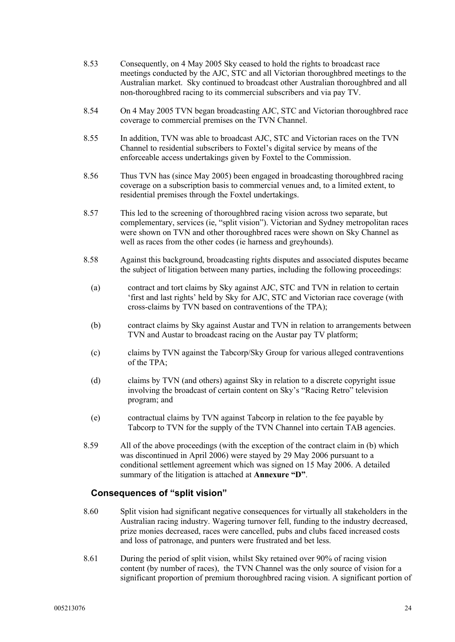- 8.53 Consequently, on 4 May 2005 Sky ceased to hold the rights to broadcast race meetings conducted by the AJC, STC and all Victorian thoroughbred meetings to the Australian market. Sky continued to broadcast other Australian thoroughbred and all non-thoroughbred racing to its commercial subscribers and via pay TV.
- 8.54 On 4 May 2005 TVN began broadcasting AJC, STC and Victorian thoroughbred race coverage to commercial premises on the TVN Channel.
- 8.55 In addition, TVN was able to broadcast AJC, STC and Victorian races on the TVN Channel to residential subscribers to Foxtel's digital service by means of the enforceable access undertakings given by Foxtel to the Commission.
- 8.56 Thus TVN has (since May 2005) been engaged in broadcasting thoroughbred racing coverage on a subscription basis to commercial venues and, to a limited extent, to residential premises through the Foxtel undertakings.
- 8.57 This led to the screening of thoroughbred racing vision across two separate, but complementary, services (ie, "split vision"). Victorian and Sydney metropolitan races were shown on TVN and other thoroughbred races were shown on Sky Channel as well as races from the other codes (ie harness and greyhounds).
- 8.58 Against this background, broadcasting rights disputes and associated disputes became the subject of litigation between many parties, including the following proceedings:
	- (a) contract and tort claims by Sky against AJC, STC and TVN in relation to certain 'first and last rights' held by Sky for AJC, STC and Victorian race coverage (with cross-claims by TVN based on contraventions of the TPA);
	- (b) contract claims by Sky against Austar and TVN in relation to arrangements between TVN and Austar to broadcast racing on the Austar pay TV platform;
	- (c) claims by TVN against the Tabcorp/Sky Group for various alleged contraventions of the TPA;
	- (d) claims by TVN (and others) against Sky in relation to a discrete copyright issue involving the broadcast of certain content on Sky's "Racing Retro" television program; and
	- (e) contractual claims by TVN against Tabcorp in relation to the fee payable by Tabcorp to TVN for the supply of the TVN Channel into certain TAB agencies.
- 8.59 All of the above proceedings (with the exception of the contract claim in (b) which was discontinued in April 2006) were stayed by 29 May 2006 pursuant to a conditional settlement agreement which was signed on 15 May 2006. A detailed summary of the litigation is attached at **Annexure "D"**.

### **Consequences of "split vision"**

- 8.60 Split vision had significant negative consequences for virtually all stakeholders in the Australian racing industry. Wagering turnover fell, funding to the industry decreased, prize monies decreased, races were cancelled, pubs and clubs faced increased costs and loss of patronage, and punters were frustrated and bet less.
- 8.61 During the period of split vision, whilst Sky retained over 90% of racing vision content (by number of races), the TVN Channel was the only source of vision for a significant proportion of premium thoroughbred racing vision. A significant portion of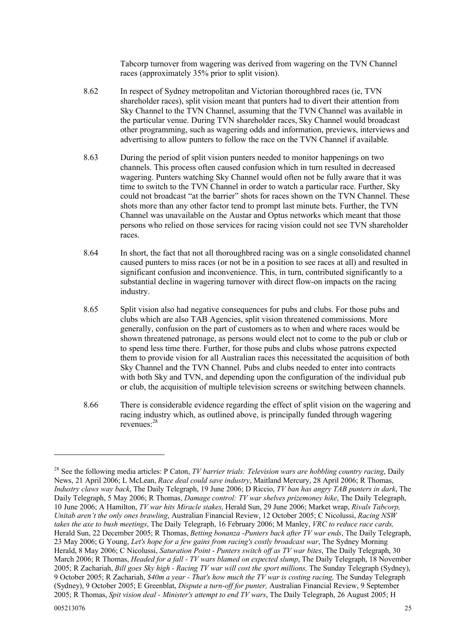Tabcorp turnover from wagering was derived from wagering on the TVN Channel races (approximately 35% prior to split vision).

- 8.62 In respect of Sydney metropolitan and Victorian thoroughbred races (ie, TVN shareholder races), split vision meant that punters had to divert their attention from Sky Channel to the TVN Channel, assuming that the TVN Channel was available in the particular venue. During TVN shareholder races, Sky Channel would broadcast other programming, such as wagering odds and information, previews, interviews and advertising to allow punters to follow the race on the TVN Channel if available.
- 8.63 During the period of split vision punters needed to monitor happenings on two channels. This process often caused confusion which in turn resulted in decreased wagering. Punters watching Sky Channel would often not be fully aware that it was time to switch to the TVN Channel in order to watch a particular race. Further, Sky could not broadcast "at the barrier" shots for races shown on the TVN Channel. These shots more than any other factor tend to prompt last minute bets. Further, the TVN Channel was unavailable on the Austar and Optus networks which meant that those persons who relied on those services for racing vision could not see TVN shareholder races.
- 8.64 In short, the fact that not all thoroughbred racing was on a single consolidated channel caused punters to miss races (or not be in a position to see races at all) and resulted in significant confusion and inconvenience. This, in turn, contributed significantly to a substantial decline in wagering turnover with direct flow-on impacts on the racing industry.
- 8.65 Split vision also had negative consequences for pubs and clubs. For those pubs and clubs which are also TAB Agencies, split vision threatened commissions. More generally, confusion on the part of customers as to when and where races would be shown threatened patronage, as persons would elect not to come to the pub or club or to spend less time there. Further, for those pubs and clubs whose patrons expected them to provide vision for all Australian races this necessitated the acquisition of both Sky Channel and the TVN Channel. Pubs and clubs needed to enter into contracts with both Sky and TVN, and depending upon the configuration of the individual pub or club, the acquisition of multiple television screens or switching between channels.
- 8.66 There is considerable evidence regarding the effect of split vision on the wagering and racing industry which, as outlined above, is principally funded through wagering revenues:<sup>28</sup>

<sup>28</sup> See the following media articles: P Caton, *TV barrier trials: Television wars are hobbling country racing*, Daily News, 21 April 2006; L McLean, *Race deal could save industry*, Maitland Mercury, 28 April 2006; R Thomas, *Industry claws way back*, The Daily Telegraph, 19 June 2006; D Riccio, *TV ban has angry TAB punters in dark*, The Daily Telegraph, 5 May 2006; R Thomas, *Damage control: TV war shelves prizemoney hike*, The Daily Telegraph, 10 June 2006; A Hamilton, *TV war hits Miracle stakes*, Herald Sun, 29 June 2006; Market wrap, *Rivals Tabcorp, Unitab aren't the only ones brawling*, Australian Financial Review, 12 October 2005; C Nicolussi, *Racing NSW takes the axe to bush meetings*, The Daily Telegraph, 16 February 2006; M Manley, *VRC to reduce race cards,*  Herald Sun, 22 December 2005; R Thomas, *Betting bonanza -Punters back after TV war ends*, The Daily Telegraph, 23 May 2006; G Young, *Let's hope for a few gains from racing's costly broadcast war*, The Sydney Morning Herald, 8 May 2006; C Nicolussi, *Saturation Point* - *Punters switch off as TV war bites*, The Daily Telegraph, 30 March 2006; R Thomas, *Headed for a fall - TV wars blamed on expected slump*, The Daily Telegraph, 18 November 2005; R Zachariah, *Bill goes Sky high - Racing TV war will cost the sport millions,* The Sunday Telegraph (Sydney), 9 October 2005; R Zachariah, *\$40m a year - That's how much the TV war is costing racing,* The Sunday Telegraph (Sydney), 9 October 2005; E Greenblat, *Dispute a turn-off for punter,* Australian Financial Review, 9 September 2005; R Thomas, *Spit vision deal - Minister's attempt to end TV wars*, The Daily Telegraph, 26 August 2005; H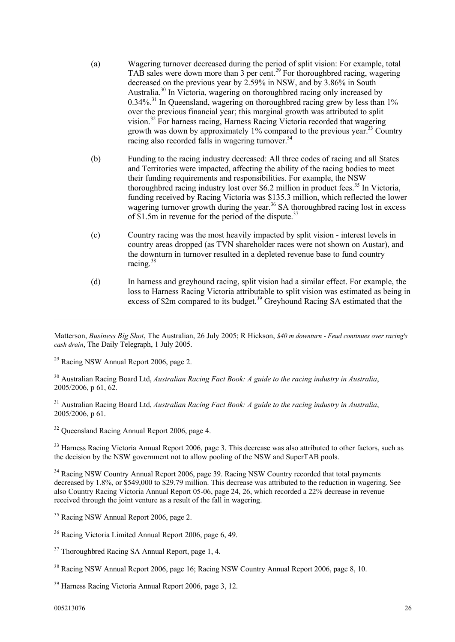- (a) Wagering turnover decreased during the period of split vision: For example, total TAB sales were down more than 3 per cent.<sup>29</sup> For thoroughbred racing, wagering decreased on the previous year by 2.59% in NSW, and by 3.86% in South Australia.<sup>30</sup> In Victoria, wagering on thoroughbred racing only increased by  $0.34\%$ <sup>31</sup> In Queensland, wagering on thoroughbred racing grew by less than  $1\%$ over the previous financial year; this marginal growth was attributed to split vision.<sup>32</sup> For harness racing, Harness Racing Victoria recorded that wagering growth was down by approximately  $1\%$  compared to the previous year.<sup>33</sup> Country racing also recorded falls in wagering turnover.<sup>34</sup>
- (b) Funding to the racing industry decreased: All three codes of racing and all States and Territories were impacted, affecting the ability of the racing bodies to meet their funding requirements and responsibilities. For example, the NSW thoroughbred racing industry lost over \$6.2 million in product fees.<sup>35</sup> In Victoria, funding received by Racing Victoria was \$135.3 million, which reflected the lower wagering turnover growth during the year.<sup>36</sup> SA thoroughbred racing lost in excess of  $$1.5m$  in revenue for the period of the dispute.<sup>37</sup>
- (c) Country racing was the most heavily impacted by split vision interest levels in country areas dropped (as TVN shareholder races were not shown on Austar), and the downturn in turnover resulted in a depleted revenue base to fund country racing.<sup>38</sup>
- (d) In harness and greyhound racing, split vision had a similar effect. For example, the loss to Harness Racing Victoria attributable to split vision was estimated as being in excess of \$2m compared to its budget.<sup>39</sup> Greyhound Racing SA estimated that the

Matterson, *Business Big Shot*, The Australian, 26 July 2005; R Hickson, *\$40 m downturn - Feud continues over racing's cash drain*, The Daily Telegraph, 1 July 2005.

 $29$  Racing NSW Annual Report 2006, page 2.

<sup>30</sup> Australian Racing Board Ltd, *Australian Racing Fact Book: A guide to the racing industry in Australia*, 2005/2006, p 61, 62.

<sup>31</sup> Australian Racing Board Ltd, *Australian Racing Fact Book: A guide to the racing industry in Australia*, 2005/2006, p 61.

<sup>32</sup> Queensland Racing Annual Report 2006, page 4.

<sup>33</sup> Harness Racing Victoria Annual Report 2006, page 3. This decrease was also attributed to other factors, such as the decision by the NSW government not to allow pooling of the NSW and SuperTAB pools.

<sup>34</sup> Racing NSW Country Annual Report 2006, page 39. Racing NSW Country recorded that total payments decreased by 1.8%, or \$549,000 to \$29.79 million. This decrease was attributed to the reduction in wagering. See also Country Racing Victoria Annual Report 05-06, page 24, 26, which recorded a 22% decrease in revenue received through the joint venture as a result of the fall in wagering.

<sup>35</sup> Racing NSW Annual Report 2006, page 2.

<sup>36</sup> Racing Victoria Limited Annual Report 2006, page 6, 49.

<sup>37</sup> Thoroughbred Racing SA Annual Report, page 1, 4.

<sup>38</sup> Racing NSW Annual Report 2006, page 16; Racing NSW Country Annual Report 2006, page 8, 10.

<sup>39</sup> Harness Racing Victoria Annual Report 2006, page 3, 12.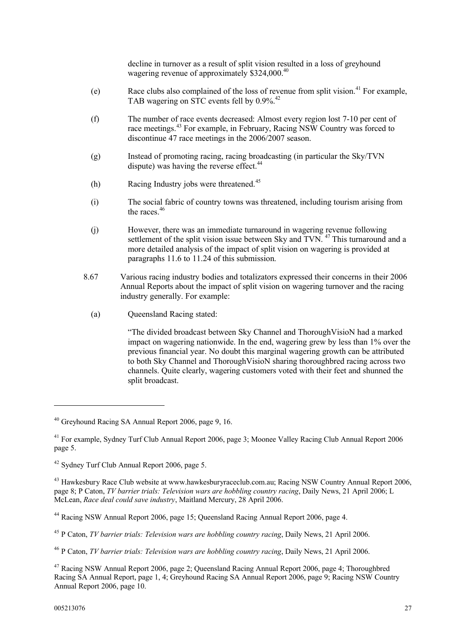decline in turnover as a result of split vision resulted in a loss of greyhound wagering revenue of approximately \$324,000.<sup>40</sup>

- (e) Race clubs also complained of the loss of revenue from split vision.<sup>41</sup> For example, TAB wagering on STC events fell by 0.9%.<sup>42</sup>
- (f) The number of race events decreased: Almost every region lost 7-10 per cent of race meetings.<sup>43</sup> For example, in February, Racing NSW Country was forced to discontinue 47 race meetings in the 2006/2007 season.
- (g) Instead of promoting racing, racing broadcasting (in particular the Sky/TVN dispute) was having the reverse effect.<sup>44</sup>
- (h) Racing Industry jobs were threatened.<sup>45</sup>
- (i) The social fabric of country towns was threatened, including tourism arising from the races<sup>46</sup>
- (j) However, there was an immediate turnaround in wagering revenue following settlement of the split vision issue between Sky and TVN.<sup>47</sup> This turnaround and a more detailed analysis of the impact of split vision on wagering is provided at paragraphs 11.6 to 11.24 of this submission.
- 8.67 Various racing industry bodies and totalizators expressed their concerns in their 2006 Annual Reports about the impact of split vision on wagering turnover and the racing industry generally. For example:
	- (a) Queensland Racing stated:

"The divided broadcast between Sky Channel and ThoroughVisioN had a marked impact on wagering nationwide. In the end, wagering grew by less than 1% over the previous financial year. No doubt this marginal wagering growth can be attributed to both Sky Channel and ThoroughVisioN sharing thoroughbred racing across two channels. Quite clearly, wagering customers voted with their feet and shunned the split broadcast.

<sup>40</sup> Greyhound Racing SA Annual Report 2006, page 9, 16.

<sup>&</sup>lt;sup>41</sup> For example, Sydney Turf Club Annual Report 2006, page 3; Moonee Valley Racing Club Annual Report 2006 page 5.

<sup>42</sup> Sydney Turf Club Annual Report 2006, page 5.

<sup>43</sup> Hawkesbury Race Club website at <www.hawkesburyraceclub.com.au;> Racing NSW Country Annual Report 2006, page 8; P Caton, *TV barrier trials: Television wars are hobbling country racing*, Daily News, 21 April 2006; L McLean, *Race deal could save industry*, Maitland Mercury, 28 April 2006.

<sup>44</sup> Racing NSW Annual Report 2006, page 15; Queensland Racing Annual Report 2006, page 4.

<sup>45</sup> P Caton, *TV barrier trials: Television wars are hobbling country racing*, Daily News, 21 April 2006.

<sup>46</sup> P Caton, *TV barrier trials: Television wars are hobbling country racing*, Daily News, 21 April 2006.

<sup>47</sup> Racing NSW Annual Report 2006, page 2; Queensland Racing Annual Report 2006, page 4; Thoroughbred Racing SA Annual Report, page 1, 4; Greyhound Racing SA Annual Report 2006, page 9; Racing NSW Country Annual Report 2006, page 10.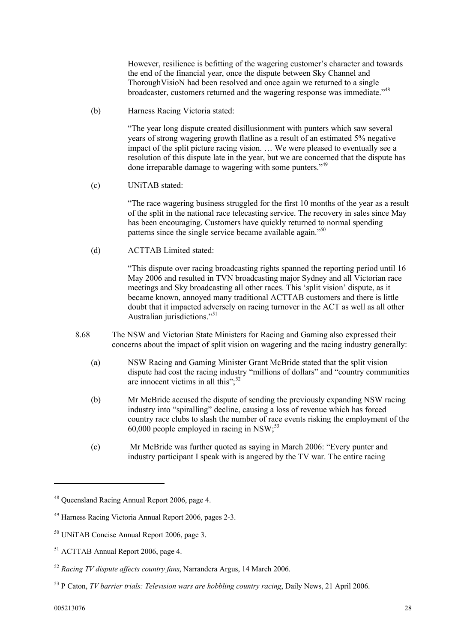However, resilience is befitting of the wagering customer's character and towards the end of the financial year, once the dispute between Sky Channel and ThoroughVisioN had been resolved and once again we returned to a single broadcaster, customers returned and the wagering response was immediate."<sup>48</sup>

(b) Harness Racing Victoria stated:

"The year long dispute created disillusionment with punters which saw several years of strong wagering growth flatline as a result of an estimated 5% negative impact of the split picture racing vision. … We were pleased to eventually see a resolution of this dispute late in the year, but we are concerned that the dispute has done irreparable damage to wagering with some punters."<sup>49</sup>

(c) UNiTAB stated:

"The race wagering business struggled for the first 10 months of the year as a result of the split in the national race telecasting service. The recovery in sales since May has been encouraging. Customers have quickly returned to normal spending patterns since the single service became available again."<sup>50</sup>

(d) ACTTAB Limited stated:

"This dispute over racing broadcasting rights spanned the reporting period until 16 May 2006 and resulted in TVN broadcasting major Sydney and all Victorian race meetings and Sky broadcasting all other races. This 'split vision' dispute, as it became known, annoyed many traditional ACTTAB customers and there is little doubt that it impacted adversely on racing turnover in the ACT as well as all other Australian jurisdictions."<sup>51</sup>

- 8.68 The NSW and Victorian State Ministers for Racing and Gaming also expressed their concerns about the impact of split vision on wagering and the racing industry generally:
	- (a) NSW Racing and Gaming Minister Grant McBride stated that the split vision dispute had cost the racing industry "millions of dollars" and "country communities are innocent victims in all this"; $52$
	- (b) Mr McBride accused the dispute of sending the previously expanding NSW racing industry into "spiralling" decline, causing a loss of revenue which has forced country race clubs to slash the number of race events risking the employment of the 60,000 people employed in racing in NSW; $^{53}$
	- (c) Mr McBride was further quoted as saying in March 2006: "Every punter and industry participant I speak with is angered by the TV war. The entire racing

<sup>48</sup> Queensland Racing Annual Report 2006, page 4.

<sup>49</sup> Harness Racing Victoria Annual Report 2006, pages 2-3.

<sup>50</sup> UNiTAB Concise Annual Report 2006, page 3.

<sup>51</sup> ACTTAB Annual Report 2006, page 4.

<sup>52</sup> *Racing TV dispute affects country fans*, Narrandera Argus, 14 March 2006.

<sup>53</sup> P Caton, *TV barrier trials: Television wars are hobbling country racing*, Daily News, 21 April 2006.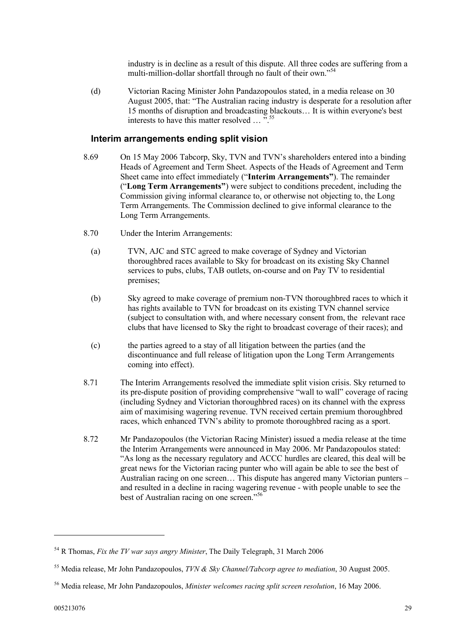industry is in decline as a result of this dispute. All three codes are suffering from a multi-million-dollar shortfall through no fault of their own."<sup>54</sup>

(d) Victorian Racing Minister John Pandazopoulos stated, in a media release on 30 August 2005, that: "The Australian racing industry is desperate for a resolution after 15 months of disruption and broadcasting blackouts… It is within everyone's best interests to have this matter resolved ... ".<sup>55</sup>

#### **Interim arrangements ending split vision**

- 8.69 On 15 May 2006 Tabcorp, Sky, TVN and TVN's shareholders entered into a binding Heads of Agreement and Term Sheet. Aspects of the Heads of Agreement and Term Sheet came into effect immediately ("**Interim Arrangements"**). The remainder ("**Long Term Arrangements"**) were subject to conditions precedent, including the Commission giving informal clearance to, or otherwise not objecting to, the Long Term Arrangements. The Commission declined to give informal clearance to the Long Term Arrangements.
- 8.70 Under the Interim Arrangements:
	- (a) TVN, AJC and STC agreed to make coverage of Sydney and Victorian thoroughbred races available to Sky for broadcast on its existing Sky Channel services to pubs, clubs, TAB outlets, on-course and on Pay TV to residential premises;
	- (b) Sky agreed to make coverage of premium non-TVN thoroughbred races to which it has rights available to TVN for broadcast on its existing TVN channel service (subject to consultation with, and where necessary consent from, the relevant race clubs that have licensed to Sky the right to broadcast coverage of their races); and
	- (c) the parties agreed to a stay of all litigation between the parties (and the discontinuance and full release of litigation upon the Long Term Arrangements coming into effect).
- 8.71 The Interim Arrangements resolved the immediate split vision crisis. Sky returned to its pre-dispute position of providing comprehensive "wall to wall" coverage of racing (including Sydney and Victorian thoroughbred races) on its channel with the express aim of maximising wagering revenue. TVN received certain premium thoroughbred races, which enhanced TVN's ability to promote thoroughbred racing as a sport.
- 8.72 Mr Pandazopoulos (the Victorian Racing Minister) issued a media release at the time the Interim Arrangements were announced in May 2006. Mr Pandazopoulos stated: "As long as the necessary regulatory and ACCC hurdles are cleared, this deal will be great news for the Victorian racing punter who will again be able to see the best of Australian racing on one screen… This dispute has angered many Victorian punters – and resulted in a decline in racing wagering revenue - with people unable to see the best of Australian racing on one screen."<sup>56</sup>

<sup>54</sup> R Thomas, *Fix the TV war says angry Minister*, The Daily Telegraph, 31 March 2006

<sup>55</sup> Media release, Mr John Pandazopoulos, *TVN & Sky Channel/Tabcorp agree to mediation*, 30 August 2005.

<sup>56</sup> Media release, Mr John Pandazopoulos, *Minister welcomes racing split screen resolution*, 16 May 2006.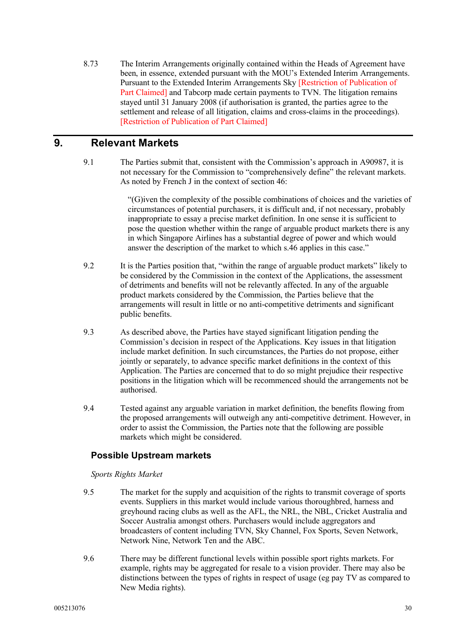8.73 The Interim Arrangements originally contained within the Heads of Agreement have been, in essence, extended pursuant with the MOU's Extended Interim Arrangements. Pursuant to the Extended Interim Arrangements Sky [Restriction of Publication of Part Claimed] and Tabcorp made certain payments to TVN. The litigation remains stayed until 31 January 2008 (if authorisation is granted, the parties agree to the settlement and release of all litigation, claims and cross-claims in the proceedings). [Restriction of Publication of Part Claimed]

### **9. Relevant Markets**

9.1 The Parties submit that, consistent with the Commission's approach in A90987, it is not necessary for the Commission to "comprehensively define" the relevant markets. As noted by French J in the context of section 46:

> "(G)iven the complexity of the possible combinations of choices and the varieties of circumstances of potential purchasers, it is difficult and, if not necessary, probably inappropriate to essay a precise market definition. In one sense it is sufficient to pose the question whether within the range of arguable product markets there is any in which Singapore Airlines has a substantial degree of power and which would answer the description of the market to which s.46 applies in this case."

- 9.2 It is the Parties position that, "within the range of arguable product markets" likely to be considered by the Commission in the context of the Applications, the assessment of detriments and benefits will not be relevantly affected. In any of the arguable product markets considered by the Commission, the Parties believe that the arrangements will result in little or no anti-competitive detriments and significant public benefits.
- 9.3 As described above, the Parties have stayed significant litigation pending the Commission's decision in respect of the Applications. Key issues in that litigation include market definition. In such circumstances, the Parties do not propose, either jointly or separately, to advance specific market definitions in the context of this Application. The Parties are concerned that to do so might prejudice their respective positions in the litigation which will be recommenced should the arrangements not be authorised.
- 9.4 Tested against any arguable variation in market definition, the benefits flowing from the proposed arrangements will outweigh any anti-competitive detriment. However, in order to assist the Commission, the Parties note that the following are possible markets which might be considered.

### **Possible Upstream markets**

*Sports Rights Market*

- 9.5 The market for the supply and acquisition of the rights to transmit coverage of sports events. Suppliers in this market would include various thoroughbred, harness and greyhound racing clubs as well as the AFL, the NRL, the NBL, Cricket Australia and Soccer Australia amongst others. Purchasers would include aggregators and broadcasters of content including TVN, Sky Channel, Fox Sports, Seven Network, Network Nine, Network Ten and the ABC.
- 9.6 There may be different functional levels within possible sport rights markets. For example, rights may be aggregated for resale to a vision provider. There may also be distinctions between the types of rights in respect of usage (eg pay TV as compared to New Media rights).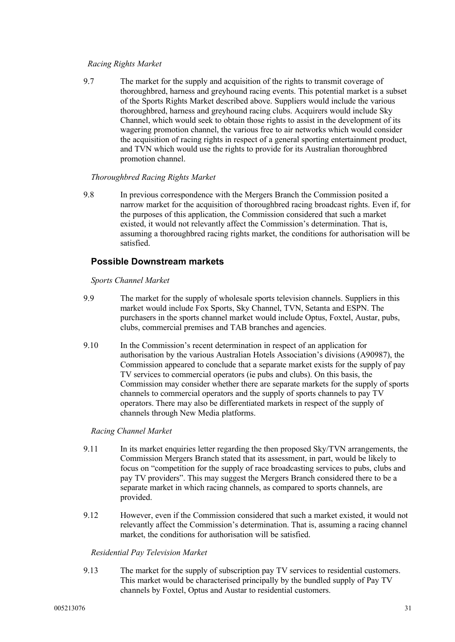#### *Racing Rights Market*

9.7 The market for the supply and acquisition of the rights to transmit coverage of thoroughbred, harness and greyhound racing events. This potential market is a subset of the Sports Rights Market described above. Suppliers would include the various thoroughbred, harness and greyhound racing clubs. Acquirers would include Sky Channel, which would seek to obtain those rights to assist in the development of its wagering promotion channel, the various free to air networks which would consider the acquisition of racing rights in respect of a general sporting entertainment product, and TVN which would use the rights to provide for its Australian thoroughbred promotion channel.

#### *Thoroughbred Racing Rights Market*

9.8 In previous correspondence with the Mergers Branch the Commission posited a narrow market for the acquisition of thoroughbred racing broadcast rights. Even if, for the purposes of this application, the Commission considered that such a market existed, it would not relevantly affect the Commission's determination. That is, assuming a thoroughbred racing rights market, the conditions for authorisation will be satisfied.

### **Possible Downstream markets**

*Sports Channel Market*

- 9.9 The market for the supply of wholesale sports television channels. Suppliers in this market would include Fox Sports, Sky Channel, TVN, Setanta and ESPN. The purchasers in the sports channel market would include Optus, Foxtel, Austar, pubs, clubs, commercial premises and TAB branches and agencies.
- 9.10 In the Commission's recent determination in respect of an application for authorisation by the various Australian Hotels Association's divisions (A90987), the Commission appeared to conclude that a separate market exists for the supply of pay TV services to commercial operators (ie pubs and clubs). On this basis, the Commission may consider whether there are separate markets for the supply of sports channels to commercial operators and the supply of sports channels to pay TV operators. There may also be differentiated markets in respect of the supply of channels through New Media platforms.

*Racing Channel Market*

- 9.11 In its market enquiries letter regarding the then proposed Sky/TVN arrangements, the Commission Mergers Branch stated that its assessment, in part, would be likely to focus on "competition for the supply of race broadcasting services to pubs, clubs and pay TV providers". This may suggest the Mergers Branch considered there to be a separate market in which racing channels, as compared to sports channels, are provided.
- 9.12 However, even if the Commission considered that such a market existed, it would not relevantly affect the Commission's determination. That is, assuming a racing channel market, the conditions for authorisation will be satisfied.

#### *Residential Pay Television Market*

9.13 The market for the supply of subscription pay TV services to residential customers. This market would be characterised principally by the bundled supply of Pay TV channels by Foxtel, Optus and Austar to residential customers.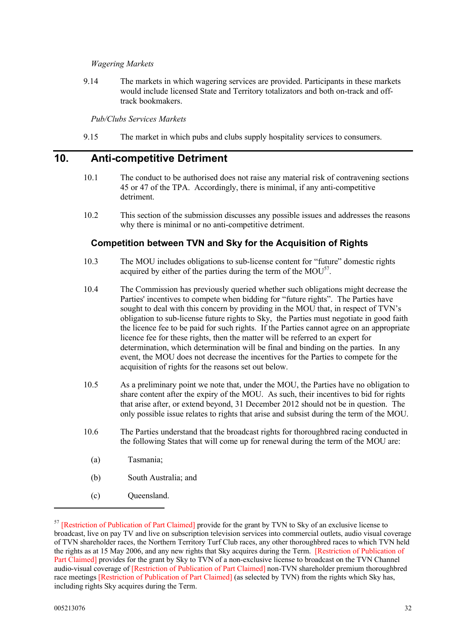#### *Wagering Markets*

9.14 The markets in which wagering services are provided. Participants in these markets would include licensed State and Territory totalizators and both on-track and offtrack bookmakers.

*Pub/Clubs Services Markets*

9.15 The market in which pubs and clubs supply hospitality services to consumers.

# **10. Anti-competitive Detriment**

- 10.1 The conduct to be authorised does not raise any material risk of contravening sections 45 or 47 of the TPA. Accordingly, there is minimal, if any anti-competitive detriment.
- 10.2 This section of the submission discusses any possible issues and addresses the reasons why there is minimal or no anti-competitive detriment.

#### **Competition between TVN and Sky for the Acquisition of Rights**

- 10.3 The MOU includes obligations to sub-license content for "future" domestic rights acquired by either of the parties during the term of the  $MOU^{57}$ .
- 10.4 The Commission has previously queried whether such obligations might decrease the Parties' incentives to compete when bidding for "future rights". The Parties have sought to deal with this concern by providing in the MOU that, in respect of TVN's obligation to sub-license future rights to Sky, the Parties must negotiate in good faith the licence fee to be paid for such rights. If the Parties cannot agree on an appropriate licence fee for these rights, then the matter will be referred to an expert for determination, which determination will be final and binding on the parties. In any event, the MOU does not decrease the incentives for the Parties to compete for the acquisition of rights for the reasons set out below.
- 10.5 As a preliminary point we note that, under the MOU, the Parties have no obligation to share content after the expiry of the MOU. As such, their incentives to bid for rights that arise after, or extend beyond, 31 December 2012 should not be in question. The only possible issue relates to rights that arise and subsist during the term of the MOU.
- 10.6 The Parties understand that the broadcast rights for thoroughbred racing conducted in the following States that will come up for renewal during the term of the MOU are:
	- (a) Tasmania;
	- (b) South Australia; and
	- (c) Queensland.

<sup>&</sup>lt;sup>57</sup> [Restriction of Publication of Part Claimed] provide for the grant by TVN to Sky of an exclusive license to broadcast, live on pay TV and live on subscription television services into commercial outlets, audio visual coverage of TVN shareholder races, the Northern Territory Turf Club races, any other thoroughbred races to which TVN held the rights as at 15 May 2006, and any new rights that Sky acquires during the Term. [Restriction of Publication of Part Claimed] provides for the grant by Sky to TVN of a non-exclusive license to broadcast on the TVN Channel audio-visual coverage of [Restriction of Publication of Part Claimed] non-TVN shareholder premium thoroughbred race meetings [Restriction of Publication of Part Claimed] (as selected by TVN) from the rights which Sky has, including rights Sky acquires during the Term.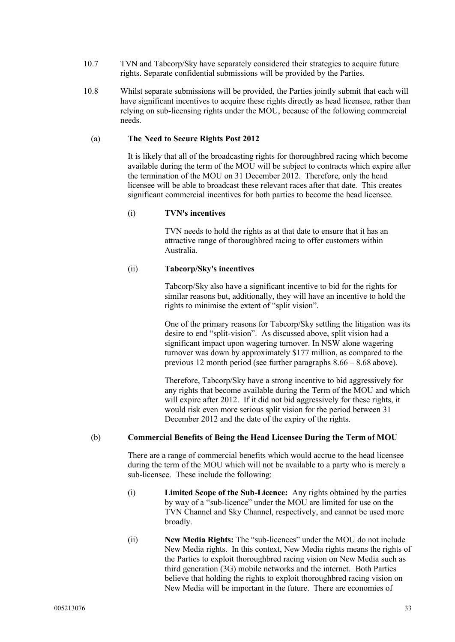- 10.7 TVN and Tabcorp/Sky have separately considered their strategies to acquire future rights. Separate confidential submissions will be provided by the Parties.
- 10.8 Whilst separate submissions will be provided, the Parties jointly submit that each will have significant incentives to acquire these rights directly as head licensee, rather than relying on sub-licensing rights under the MOU, because of the following commercial needs.

#### (a) **The Need to Secure Rights Post 2012**

It is likely that all of the broadcasting rights for thoroughbred racing which become available during the term of the MOU will be subject to contracts which expire after the termination of the MOU on 31 December 2012. Therefore, only the head licensee will be able to broadcast these relevant races after that date. This creates significant commercial incentives for both parties to become the head licensee.

#### (i) **TVN's incentives**

TVN needs to hold the rights as at that date to ensure that it has an attractive range of thoroughbred racing to offer customers within Australia.

#### (ii) **Tabcorp/Sky's incentives**

Tabcorp/Sky also have a significant incentive to bid for the rights for similar reasons but, additionally, they will have an incentive to hold the rights to minimise the extent of "split vision".

One of the primary reasons for Tabcorp/Sky settling the litigation was its desire to end "split-vision". As discussed above, split vision had a significant impact upon wagering turnover. In NSW alone wagering turnover was down by approximately \$177 million, as compared to the previous 12 month period (see further paragraphs 8.66 – 8.68 above).

Therefore, Tabcorp/Sky have a strong incentive to bid aggressively for any rights that become available during the Term of the MOU and which will expire after 2012. If it did not bid aggressively for these rights, it would risk even more serious split vision for the period between 31 December 2012 and the date of the expiry of the rights.

#### (b) **Commercial Benefits of Being the Head Licensee During the Term of MOU**

There are a range of commercial benefits which would accrue to the head licensee during the term of the MOU which will not be available to a party who is merely a sub-licensee. These include the following:

- (i) **Limited Scope of the Sub-Licence:** Any rights obtained by the parties by way of a "sub-licence" under the MOU are limited for use on the TVN Channel and Sky Channel, respectively, and cannot be used more broadly.
- (ii) **New Media Rights:** The "sub-licences" under the MOU do not include New Media rights. In this context, New Media rights means the rights of the Parties to exploit thoroughbred racing vision on New Media such as third generation (3G) mobile networks and the internet. Both Parties believe that holding the rights to exploit thoroughbred racing vision on New Media will be important in the future. There are economies of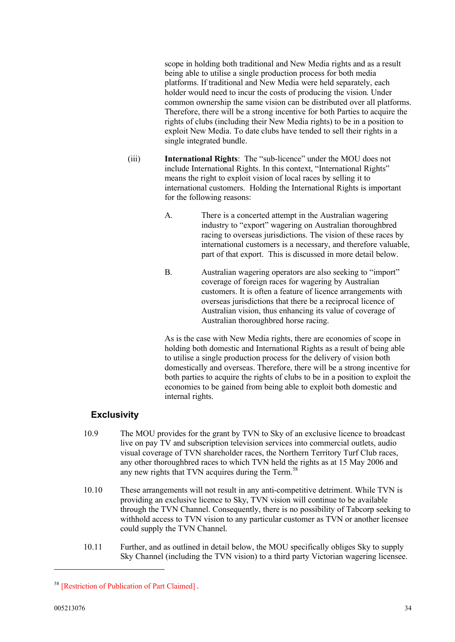scope in holding both traditional and New Media rights and as a result being able to utilise a single production process for both media platforms. If traditional and New Media were held separately, each holder would need to incur the costs of producing the vision. Under common ownership the same vision can be distributed over all platforms. Therefore, there will be a strong incentive for both Parties to acquire the rights of clubs (including their New Media rights) to be in a position to exploit New Media. To date clubs have tended to sell their rights in a single integrated bundle.

- (iii) **International Rights**: The "sub-licence" under the MOU does not include International Rights. In this context, "International Rights" means the right to exploit vision of local races by selling it to international customers. Holding the International Rights is important for the following reasons:
	- A. There is a concerted attempt in the Australian wagering industry to "export" wagering on Australian thoroughbred racing to overseas jurisdictions. The vision of these races by international customers is a necessary, and therefore valuable, part of that export. This is discussed in more detail below.
	- B. Australian wagering operators are also seeking to "import" coverage of foreign races for wagering by Australian customers. It is often a feature of licence arrangements with overseas jurisdictions that there be a reciprocal licence of Australian vision, thus enhancing its value of coverage of Australian thoroughbred horse racing.

As is the case with New Media rights, there are economies of scope in holding both domestic and International Rights as a result of being able to utilise a single production process for the delivery of vision both domestically and overseas. Therefore, there will be a strong incentive for both parties to acquire the rights of clubs to be in a position to exploit the economies to be gained from being able to exploit both domestic and internal rights.

### **Exclusivity**

- 10.9 The MOU provides for the grant by TVN to Sky of an exclusive licence to broadcast live on pay TV and subscription television services into commercial outlets, audio visual coverage of TVN shareholder races, the Northern Territory Turf Club races, any other thoroughbred races to which TVN held the rights as at 15 May 2006 and any new rights that TVN acquires during the Term.<sup>58</sup>
- 10.10 These arrangements will not result in any anti-competitive detriment. While TVN is providing an exclusive licence to Sky, TVN vision will continue to be available through the TVN Channel. Consequently, there is no possibility of Tabcorp seeking to withhold access to TVN vision to any particular customer as TVN or another licensee could supply the TVN Channel.
- 10.11 Further, and as outlined in detail below, the MOU specifically obliges Sky to supply Sky Channel (including the TVN vision) to a third party Victorian wagering licensee.

<sup>58</sup> [Restriction of Publication of Part Claimed] .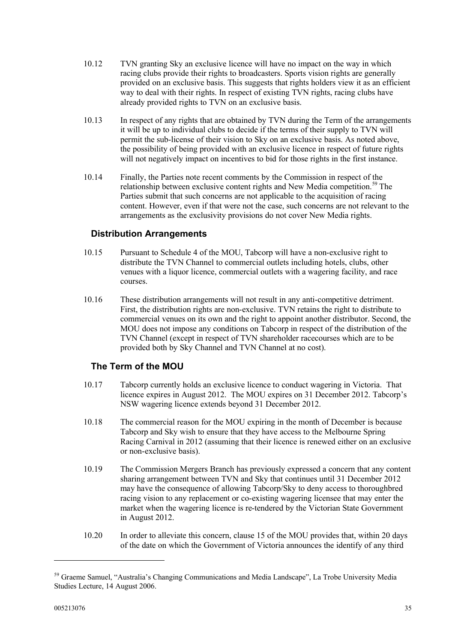- 10.12 TVN granting Sky an exclusive licence will have no impact on the way in which racing clubs provide their rights to broadcasters. Sports vision rights are generally provided on an exclusive basis. This suggests that rights holders view it as an efficient way to deal with their rights. In respect of existing TVN rights, racing clubs have already provided rights to TVN on an exclusive basis.
- 10.13 In respect of any rights that are obtained by TVN during the Term of the arrangements it will be up to individual clubs to decide if the terms of their supply to TVN will permit the sub-license of their vision to Sky on an exclusive basis. As noted above, the possibility of being provided with an exclusive licence in respect of future rights will not negatively impact on incentives to bid for those rights in the first instance.
- 10.14 Finally, the Parties note recent comments by the Commission in respect of the relationship between exclusive content rights and New Media competition.<sup>59</sup> The Parties submit that such concerns are not applicable to the acquisition of racing content. However, even if that were not the case, such concerns are not relevant to the arrangements as the exclusivity provisions do not cover New Media rights.

### **Distribution Arrangements**

- 10.15 Pursuant to Schedule 4 of the MOU, Tabcorp will have a non-exclusive right to distribute the TVN Channel to commercial outlets including hotels, clubs, other venues with a liquor licence, commercial outlets with a wagering facility, and race courses.
- 10.16 These distribution arrangements will not result in any anti-competitive detriment. First, the distribution rights are non-exclusive. TVN retains the right to distribute to commercial venues on its own and the right to appoint another distributor. Second, the MOU does not impose any conditions on Tabcorp in respect of the distribution of the TVN Channel (except in respect of TVN shareholder racecourses which are to be provided both by Sky Channel and TVN Channel at no cost).

### **The Term of the MOU**

- 10.17 Tabcorp currently holds an exclusive licence to conduct wagering in Victoria. That licence expires in August 2012. The MOU expires on 31 December 2012. Tabcorp's NSW wagering licence extends beyond 31 December 2012.
- 10.18 The commercial reason for the MOU expiring in the month of December is because Tabcorp and Sky wish to ensure that they have access to the Melbourne Spring Racing Carnival in 2012 (assuming that their licence is renewed either on an exclusive or non-exclusive basis).
- 10.19 The Commission Mergers Branch has previously expressed a concern that any content sharing arrangement between TVN and Sky that continues until 31 December 2012 may have the consequence of allowing Tabcorp/Sky to deny access to thoroughbred racing vision to any replacement or co-existing wagering licensee that may enter the market when the wagering licence is re-tendered by the Victorian State Government in August 2012.
- 10.20 In order to alleviate this concern, clause 15 of the MOU provides that, within 20 days of the date on which the Government of Victoria announces the identify of any third

<sup>59</sup> Graeme Samuel, "Australia's Changing Communications and Media Landscape", La Trobe University Media Studies Lecture, 14 August 2006.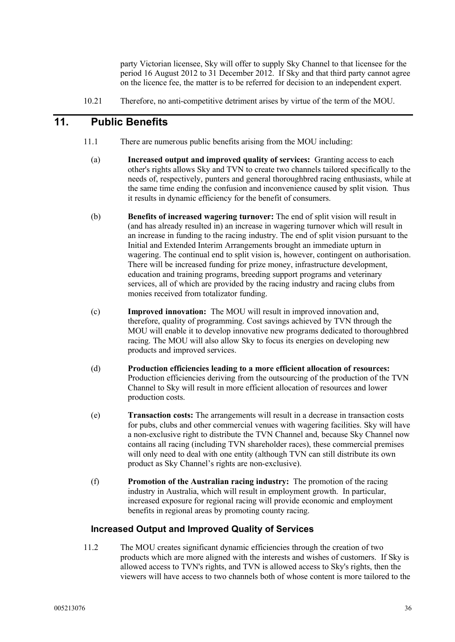party Victorian licensee, Sky will offer to supply Sky Channel to that licensee for the period 16 August 2012 to 31 December 2012. If Sky and that third party cannot agree on the licence fee, the matter is to be referred for decision to an independent expert.

10.21 Therefore, no anti-competitive detriment arises by virtue of the term of the MOU.

# **11. Public Benefits**

- 11.1 There are numerous public benefits arising from the MOU including:
	- (a) **Increased output and improved quality of services:** Granting access to each other's rights allows Sky and TVN to create two channels tailored specifically to the needs of, respectively, punters and general thoroughbred racing enthusiasts, while at the same time ending the confusion and inconvenience caused by split vision. Thus it results in dynamic efficiency for the benefit of consumers.
	- (b) **Benefits of increased wagering turnover:** The end of split vision will result in (and has already resulted in) an increase in wagering turnover which will result in an increase in funding to the racing industry. The end of split vision pursuant to the Initial and Extended Interim Arrangements brought an immediate upturn in wagering. The continual end to split vision is, however, contingent on authorisation. There will be increased funding for prize money, infrastructure development, education and training programs, breeding support programs and veterinary services, all of which are provided by the racing industry and racing clubs from monies received from totalizator funding.
	- (c) **Improved innovation:** The MOU will result in improved innovation and, therefore, quality of programming. Cost savings achieved by TVN through the MOU will enable it to develop innovative new programs dedicated to thoroughbred racing. The MOU will also allow Sky to focus its energies on developing new products and improved services.
	- (d) **Production efficiencies leading to a more efficient allocation of resources:** Production efficiencies deriving from the outsourcing of the production of the TVN Channel to Sky will result in more efficient allocation of resources and lower production costs.
	- (e) **Transaction costs:** The arrangements will result in a decrease in transaction costs for pubs, clubs and other commercial venues with wagering facilities. Sky will have a non-exclusive right to distribute the TVN Channel and, because Sky Channel now contains all racing (including TVN shareholder races), these commercial premises will only need to deal with one entity (although TVN can still distribute its own product as Sky Channel's rights are non-exclusive).
	- (f) **Promotion of the Australian racing industry:** The promotion of the racing industry in Australia, which will result in employment growth. In particular, increased exposure for regional racing will provide economic and employment benefits in regional areas by promoting county racing.

### **Increased Output and Improved Quality of Services**

11.2 The MOU creates significant dynamic efficiencies through the creation of two products which are more aligned with the interests and wishes of customers. If Sky is allowed access to TVN's rights, and TVN is allowed access to Sky's rights, then the viewers will have access to two channels both of whose content is more tailored to the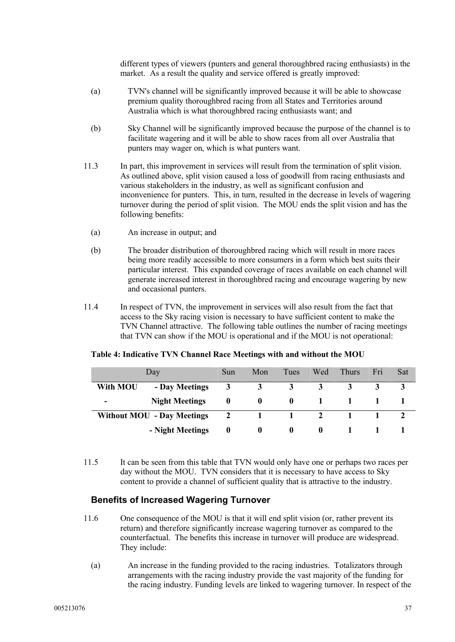different types of viewers (punters and general thoroughbred racing enthusiasts) in the market. As a result the quality and service offered is greatly improved:

- (a) TVN's channel will be significantly improved because it will be able to showcase premium quality thoroughbred racing from all States and Territories around Australia which is what thoroughbred racing enthusiasts want; and
- (b) Sky Channel will be significantly improved because the purpose of the channel is to facilitate wagering and it will be able to show races from all over Australia that punters may wager on, which is what punters want.
- 11.3 In part, this improvement in services will result from the termination of split vision. As outlined above, split vision caused a loss of goodwill from racing enthusiasts and various stakeholders in the industry, as well as significant confusion and inconvenience for punters. This, in turn, resulted in the decrease in levels of wagering turnover during the period of split vision. The MOU ends the split vision and has the following benefits:
	- (a) An increase in output; and
	- (b) The broader distribution of thoroughbred racing which will result in more races being more readily accessible to more consumers in a form which best suits their particular interest. This expanded coverage of races available on each channel will generate increased interest in thoroughbred racing and encourage wagering by new and occasional punters.
- 11.4 In respect of TVN, the improvement in services will also result from the fact that access to the Sky racing vision is necessary to have sufficient content to make the TVN Channel attractive. The following table outlines the number of racing meetings that TVN can show if the MOU is operational and if the MOU is not operational:

|          | Day                               | Sun      | Mon      | Tues     | Wed          | <b>Thurs</b> | Fri | Sat |
|----------|-----------------------------------|----------|----------|----------|--------------|--------------|-----|-----|
| With MOU | - Day Meetings                    | 3        |          |          |              |              |     |     |
| ۰        | <b>Night Meetings</b>             | $\bf{0}$ | $\bf{0}$ | $\bf{0}$ |              |              |     |     |
|          | <b>Without MOU - Day Meetings</b> |          |          |          |              |              |     |     |
|          | - Night Meetings                  | $\bf{0}$ | $\bf{0}$ | O        | $\mathbf{0}$ |              |     |     |

#### **Table 4: Indicative TVN Channel Race Meetings with and without the MOU**

11.5 It can be seen from this table that TVN would only have one or perhaps two races per day without the MOU. TVN considers that it is necessary to have access to Sky content to provide a channel of sufficient quality that is attractive to the industry.

### **Benefits of Increased Wagering Turnover**

- 11.6 One consequence of the MOU is that it will end split vision (or, rather prevent its return) and therefore significantly increase wagering turnover as compared to the counterfactual. The benefits this increase in turnover will produce are widespread. They include:
	- (a) An increase in the funding provided to the racing industries. Totalizators through arrangements with the racing industry provide the vast majority of the funding for the racing industry. Funding levels are linked to wagering turnover. In respect of the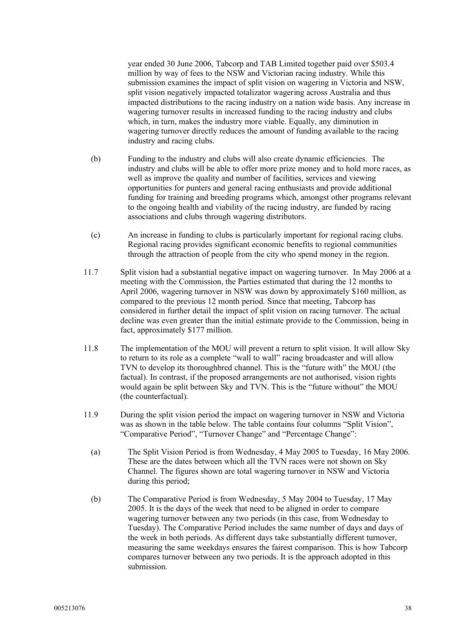year ended 30 June 2006, Tabcorp and TAB Limited together paid over \$503.4 million by way of fees to the NSW and Victorian racing industry. While this submission examines the impact of split vision on wagering in Victoria and NSW, split vision negatively impacted totalizator wagering across Australia and thus impacted distributions to the racing industry on a nation wide basis. Any increase in wagering turnover results in increased funding to the racing industry and clubs which, in turn, makes the industry more viable. Equally, any diminution in wagering turnover directly reduces the amount of funding available to the racing industry and racing clubs.

- (b) Funding to the industry and clubs will also create dynamic efficiencies. The industry and clubs will be able to offer more prize money and to hold more races, as well as improve the quality and number of facilities, services and viewing opportunities for punters and general racing enthusiasts and provide additional funding for training and breeding programs which, amongst other programs relevant to the ongoing health and viability of the racing industry, are funded by racing associations and clubs through wagering distributors.
- (c) An increase in funding to clubs is particularly important for regional racing clubs. Regional racing provides significant economic benefits to regional communities through the attraction of people from the city who spend money in the region.
- 11.7 Split vision had a substantial negative impact on wagering turnover. In May 2006 at a meeting with the Commission, the Parties estimated that during the 12 months to April 2006, wagering turnover in NSW was down by approximately \$160 million, as compared to the previous 12 month period. Since that meeting, Tabcorp has considered in further detail the impact of split vision on racing turnover. The actual decline was even greater than the initial estimate provide to the Commission, being in fact, approximately \$177 million.
- 11.8 The implementation of the MOU will prevent a return to split vision. It will allow Sky to return to its role as a complete "wall to wall" racing broadcaster and will allow TVN to develop its thoroughbred channel. This is the "future with" the MOU (the factual). In contrast, if the proposed arrangements are not authorised, vision rights would again be split between Sky and TVN. This is the "future without" the MOU (the counterfactual).
- 11.9 During the split vision period the impact on wagering turnover in NSW and Victoria was as shown in the table below. The table contains four columns "Split Vision", "Comparative Period", "Turnover Change" and "Percentage Change":
	- (a) The Split Vision Period is from Wednesday, 4 May 2005 to Tuesday, 16 May 2006. These are the dates between which all the TVN races were not shown on Sky Channel. The figures shown are total wagering turnover in NSW and Victoria during this period;
	- (b) The Comparative Period is from Wednesday, 5 May 2004 to Tuesday, 17 May 2005. It is the days of the week that need to be aligned in order to compare wagering turnover between any two periods (in this case, from Wednesday to Tuesday). The Comparative Period includes the same number of days and days of the week in both periods. As different days take substantially different turnover, measuring the same weekdays ensures the fairest comparison. This is how Tabcorp compares turnover between any two periods. It is the approach adopted in this submission.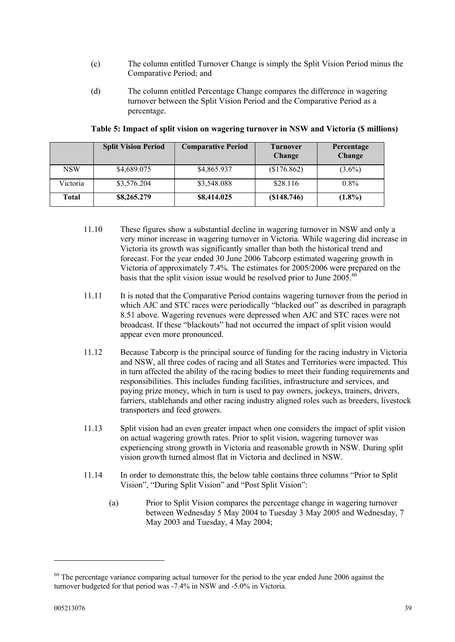- (c) The column entitled Turnover Change is simply the Split Vision Period minus the Comparative Period; and
- (d) The column entitled Percentage Change compares the difference in wagering turnover between the Split Vision Period and the Comparative Period as a percentage.

|              | <b>Split Vision Period</b> | <b>Comparative Period</b> | <b>Turnover</b><br>Change | Percentage<br>Change |
|--------------|----------------------------|---------------------------|---------------------------|----------------------|
| <b>NSW</b>   | \$4,689.075                | \$4,865.937               | \$176.862)                | $(3.6\%)$            |
| Victoria     | \$3,576.204                | \$3,548.088               | \$28.116                  | $0.8\%$              |
| <b>Total</b> | \$8,265.279                | \$8,414.025               | (\$148.746)               | $(1.8\%)$            |

#### **Table 5: Impact of split vision on wagering turnover in NSW and Victoria (\$ millions)**

- 11.10 These figures show a substantial decline in wagering turnover in NSW and only a very minor increase in wagering turnover in Victoria. While wagering did increase in Victoria its growth was significantly smaller than both the historical trend and forecast. For the year ended 30 June 2006 Tabcorp estimated wagering growth in Victoria of approximately 7.4%. The estimates for 2005/2006 were prepared on the basis that the split vision issue would be resolved prior to June  $2005.^{60}$
- 11.11 It is noted that the Comparative Period contains wagering turnover from the period in which AJC and STC races were periodically "blacked out" as described in paragraph 8.51 above. Wagering revenues were depressed when AJC and STC races were not broadcast. If these "blackouts" had not occurred the impact of split vision would appear even more pronounced.
- 11.12 Because Tabcorp is the principal source of funding for the racing industry in Victoria and NSW, all three codes of racing and all States and Territories were impacted. This in turn affected the ability of the racing bodies to meet their funding requirements and responsibilities. This includes funding facilities, infrastructure and services, and paying prize money, which in turn is used to pay owners, jockeys, trainers, drivers, farriers, stablehands and other racing industry aligned roles such as breeders, livestock transporters and feed growers.
- 11.13 Split vision had an even greater impact when one considers the impact of split vision on actual wagering growth rates. Prior to split vision, wagering turnover was experiencing strong growth in Victoria and reasonable growth in NSW. During split vision growth turned almost flat in Victoria and declined in NSW.
- 11.14 In order to demonstrate this, the below table contains three columns "Prior to Split Vision", "During Split Vision" and "Post Split Vision":
	- (a) Prior to Split Vision compares the percentage change in wagering turnover between Wednesday 5 May 2004 to Tuesday 3 May 2005 and Wednesday, 7 May 2003 and Tuesday, 4 May 2004;

 $60$  The percentage variance comparing actual turnover for the period to the year ended June 2006 against the turnover budgeted for that period was -7.4% in NSW and -5.0% in Victoria.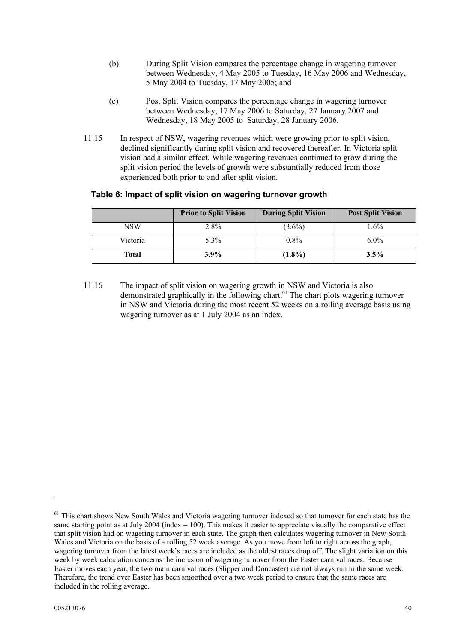- (b) During Split Vision compares the percentage change in wagering turnover between Wednesday, 4 May 2005 to Tuesday, 16 May 2006 and Wednesday, 5 May 2004 to Tuesday, 17 May 2005; and
- (c) Post Split Vision compares the percentage change in wagering turnover between Wednesday, 17 May 2006 to Saturday, 27 January 2007 and Wednesday, 18 May 2005 to Saturday, 28 January 2006.
- 11.15 In respect of NSW, wagering revenues which were growing prior to split vision, declined significantly during split vision and recovered thereafter. In Victoria split vision had a similar effect. While wagering revenues continued to grow during the split vision period the levels of growth were substantially reduced from those experienced both prior to and after split vision.

#### **Table 6: Impact of split vision on wagering turnover growth**

|            | <b>Prior to Split Vision</b> | <b>During Split Vision</b> | <b>Post Split Vision</b> |
|------------|------------------------------|----------------------------|--------------------------|
| <b>NSW</b> | 2.8%                         | $(3.6\%)$                  | $1.6\%$                  |
| Victoria   | $5.3\%$                      | $0.8\%$                    | $6.0\%$                  |
| Total      | $3.9\%$                      | $(1.8\%)$                  | 3.5%                     |

11.16 The impact of split vision on wagering growth in NSW and Victoria is also demonstrated graphically in the following chart.<sup>61</sup> The chart plots wagering turnover in NSW and Victoria during the most recent 52 weeks on a rolling average basis using wagering turnover as at 1 July 2004 as an index.

 $<sup>61</sup>$  This chart shows New South Wales and Victoria wagering turnover indexed so that turnover for each state has the</sup> same starting point as at July 2004 (index  $= 100$ ). This makes it easier to appreciate visually the comparative effect that split vision had on wagering turnover in each state. The graph then calculates wagering turnover in New South Wales and Victoria on the basis of a rolling 52 week average. As you move from left to right across the graph, wagering turnover from the latest week's races are included as the oldest races drop off. The slight variation on this week by week calculation concerns the inclusion of wagering turnover from the Easter carnival races. Because Easter moves each year, the two main carnival races (Slipper and Doncaster) are not always run in the same week. Therefore, the trend over Easter has been smoothed over a two week period to ensure that the same races are included in the rolling average.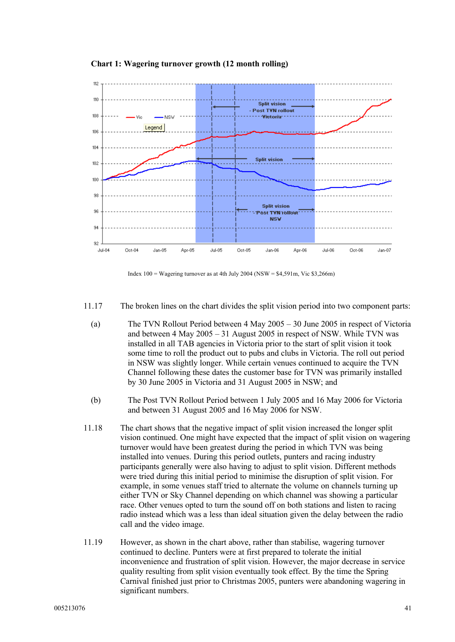



Index  $100 =$  Wagering turnover as at 4th July 2004 (NSW = \$4,591m, Vic \$3,266m)

- 11.17 The broken lines on the chart divides the split vision period into two component parts:
	- (a) The TVN Rollout Period between 4 May 2005 30 June 2005 in respect of Victoria and between 4 May 2005 – 31 August 2005 in respect of NSW. While TVN was installed in all TAB agencies in Victoria prior to the start of split vision it took some time to roll the product out to pubs and clubs in Victoria. The roll out period in NSW was slightly longer. While certain venues continued to acquire the TVN Channel following these dates the customer base for TVN was primarily installed by 30 June 2005 in Victoria and 31 August 2005 in NSW; and
	- (b) The Post TVN Rollout Period between 1 July 2005 and 16 May 2006 for Victoria and between 31 August 2005 and 16 May 2006 for NSW.
- 11.18 The chart shows that the negative impact of split vision increased the longer split vision continued. One might have expected that the impact of split vision on wagering turnover would have been greatest during the period in which TVN was being installed into venues. During this period outlets, punters and racing industry participants generally were also having to adjust to split vision. Different methods were tried during this initial period to minimise the disruption of split vision. For example, in some venues staff tried to alternate the volume on channels turning up either TVN or Sky Channel depending on which channel was showing a particular race. Other venues opted to turn the sound off on both stations and listen to racing radio instead which was a less than ideal situation given the delay between the radio call and the video image.
- 11.19 However, as shown in the chart above, rather than stabilise, wagering turnover continued to decline. Punters were at first prepared to tolerate the initial inconvenience and frustration of split vision. However, the major decrease in service quality resulting from split vision eventually took effect. By the time the Spring Carnival finished just prior to Christmas 2005, punters were abandoning wagering in significant numbers.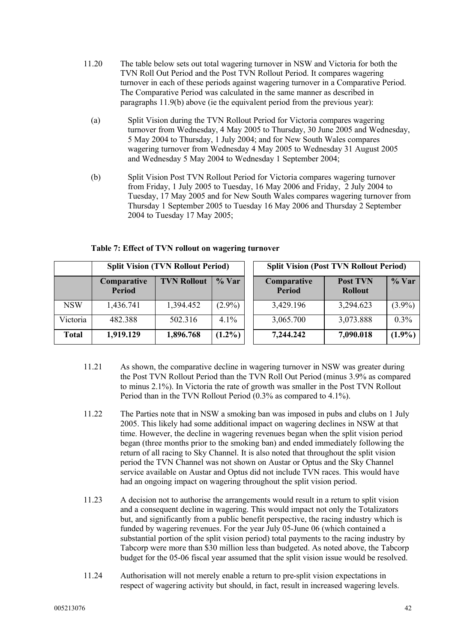- 11.20 The table below sets out total wagering turnover in NSW and Victoria for both the TVN Roll Out Period and the Post TVN Rollout Period. It compares wagering turnover in each of these periods against wagering turnover in a Comparative Period. The Comparative Period was calculated in the same manner as described in paragraphs 11.9(b) above (ie the equivalent period from the previous year):
	- (a) Split Vision during the TVN Rollout Period for Victoria compares wagering turnover from Wednesday, 4 May 2005 to Thursday, 30 June 2005 and Wednesday, 5 May 2004 to Thursday, 1 July 2004; and for New South Wales compares wagering turnover from Wednesday 4 May 2005 to Wednesday 31 August 2005 and Wednesday 5 May 2004 to Wednesday 1 September 2004;
	- (b) Split Vision Post TVN Rollout Period for Victoria compares wagering turnover from Friday, 1 July 2005 to Tuesday, 16 May 2006 and Friday, 2 July 2004 to Tuesday, 17 May 2005 and for New South Wales compares wagering turnover from Thursday 1 September 2005 to Tuesday 16 May 2006 and Thursday 2 September 2004 to Tuesday 17 May 2005;

|              | <b>Split Vision (TVN Rollout Period)</b> |                    |           | <b>Split Vision (Post TVN Rollout Period)</b> |                              |                                   |           |
|--------------|------------------------------------------|--------------------|-----------|-----------------------------------------------|------------------------------|-----------------------------------|-----------|
|              | Comparative<br><b>Period</b>             | <b>TVN Rollout</b> | $\%$ Var  |                                               | Comparative<br><b>Period</b> | <b>Post TVN</b><br><b>Rollout</b> | % Var     |
| <b>NSW</b>   | 1,436.741                                | 1,394.452          | $(2.9\%)$ |                                               | 3,429.196                    | 3,294.623                         | $(3.9\%)$ |
| Victoria     | 482.388                                  | 502.316            | $4.1\%$   |                                               | 3,065.700                    | 3,073.888                         | $0.3\%$   |
| <b>Total</b> | 1,919.129                                | 1,896.768          | $(1.2\%)$ |                                               | 7,244.242                    | 7,090.018                         | $(1.9\%)$ |

#### **Table 7: Effect of TVN rollout on wagering turnover**

- 11.21 As shown, the comparative decline in wagering turnover in NSW was greater during the Post TVN Rollout Period than the TVN Roll Out Period (minus 3.9% as compared to minus 2.1%). In Victoria the rate of growth was smaller in the Post TVN Rollout Period than in the TVN Rollout Period (0.3% as compared to 4.1%).
- 11.22 The Parties note that in NSW a smoking ban was imposed in pubs and clubs on 1 July 2005. This likely had some additional impact on wagering declines in NSW at that time. However, the decline in wagering revenues began when the split vision period began (three months prior to the smoking ban) and ended immediately following the return of all racing to Sky Channel. It is also noted that throughout the split vision period the TVN Channel was not shown on Austar or Optus and the Sky Channel service available on Austar and Optus did not include TVN races. This would have had an ongoing impact on wagering throughout the split vision period.
- 11.23 A decision not to authorise the arrangements would result in a return to split vision and a consequent decline in wagering. This would impact not only the Totalizators but, and significantly from a public benefit perspective, the racing industry which is funded by wagering revenues. For the year July 05-June 06 (which contained a substantial portion of the split vision period) total payments to the racing industry by Tabcorp were more than \$30 million less than budgeted. As noted above, the Tabcorp budget for the 05-06 fiscal year assumed that the split vision issue would be resolved.
- 11.24 Authorisation will not merely enable a return to pre-split vision expectations in respect of wagering activity but should, in fact, result in increased wagering levels.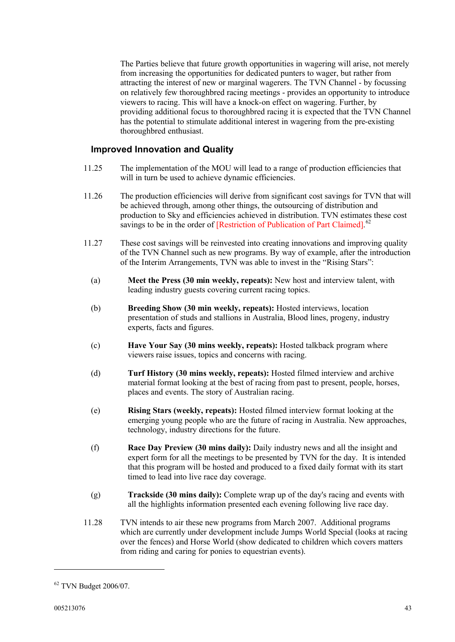The Parties believe that future growth opportunities in wagering will arise, not merely from increasing the opportunities for dedicated punters to wager, but rather from attracting the interest of new or marginal wagerers. The TVN Channel - by focussing on relatively few thoroughbred racing meetings - provides an opportunity to introduce viewers to racing. This will have a knock-on effect on wagering. Further, by providing additional focus to thoroughbred racing it is expected that the TVN Channel has the potential to stimulate additional interest in wagering from the pre-existing thoroughbred enthusiast.

### **Improved Innovation and Quality**

- 11.25 The implementation of the MOU will lead to a range of production efficiencies that will in turn be used to achieve dynamic efficiencies.
- 11.26 The production efficiencies will derive from significant cost savings for TVN that will be achieved through, among other things, the outsourcing of distribution and production to Sky and efficiencies achieved in distribution. TVN estimates these cost savings to be in the order of [Restriction of Publication of Part Claimed].<sup>62</sup>
- 11.27 These cost savings will be reinvested into creating innovations and improving quality of the TVN Channel such as new programs. By way of example, after the introduction of the Interim Arrangements, TVN was able to invest in the "Rising Stars":
	- (a) **Meet the Press (30 min weekly, repeats):** New host and interview talent, with leading industry guests covering current racing topics.
	- (b) **Breeding Show (30 min weekly, repeats):** Hosted interviews, location presentation of studs and stallions in Australia, Blood lines, progeny, industry experts, facts and figures.
	- (c) **Have Your Say (30 mins weekly, repeats):** Hosted talkback program where viewers raise issues, topics and concerns with racing.
	- (d) **Turf History (30 mins weekly, repeats):** Hosted filmed interview and archive material format looking at the best of racing from past to present, people, horses, places and events. The story of Australian racing.
	- (e) **Rising Stars (weekly, repeats):** Hosted filmed interview format looking at the emerging young people who are the future of racing in Australia. New approaches, technology, industry directions for the future.
	- (f) **Race Day Preview (30 mins daily):** Daily industry news and all the insight and expert form for all the meetings to be presented by TVN for the day. It is intended that this program will be hosted and produced to a fixed daily format with its start timed to lead into live race day coverage.
	- (g) **Trackside (30 mins daily):** Complete wrap up of the day's racing and events with all the highlights information presented each evening following live race day.
- 11.28 TVN intends to air these new programs from March 2007. Additional programs which are currently under development include Jumps World Special (looks at racing over the fences) and Horse World (show dedicated to children which covers matters from riding and caring for ponies to equestrian events).

<sup>62</sup> TVN Budget 2006/07.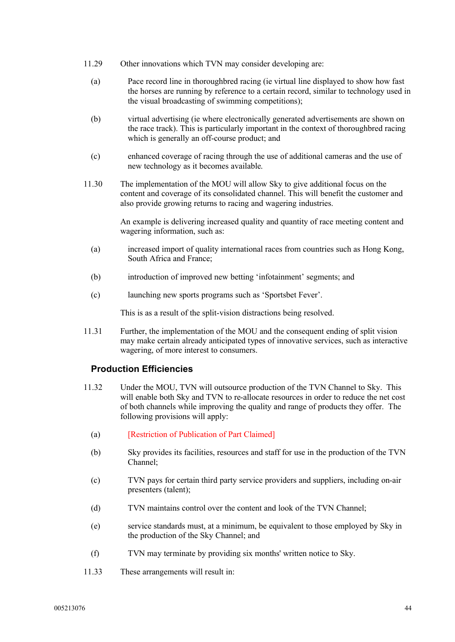- 11.29 Other innovations which TVN may consider developing are:
	- (a) Pace record line in thoroughbred racing (ie virtual line displayed to show how fast the horses are running by reference to a certain record, similar to technology used in the visual broadcasting of swimming competitions);
	- (b) virtual advertising (ie where electronically generated advertisements are shown on the race track). This is particularly important in the context of thoroughbred racing which is generally an off-course product; and
	- (c) enhanced coverage of racing through the use of additional cameras and the use of new technology as it becomes available.
- 11.30 The implementation of the MOU will allow Sky to give additional focus on the content and coverage of its consolidated channel. This will benefit the customer and also provide growing returns to racing and wagering industries.

An example is delivering increased quality and quantity of race meeting content and wagering information, such as:

- (a) increased import of quality international races from countries such as Hong Kong, South Africa and France;
- (b) introduction of improved new betting 'infotainment' segments; and
- (c) launching new sports programs such as 'Sportsbet Fever'.

This is as a result of the split-vision distractions being resolved.

11.31 Further, the implementation of the MOU and the consequent ending of split vision may make certain already anticipated types of innovative services, such as interactive wagering, of more interest to consumers.

### **Production Efficiencies**

- 11.32 Under the MOU, TVN will outsource production of the TVN Channel to Sky. This will enable both Sky and TVN to re-allocate resources in order to reduce the net cost of both channels while improving the quality and range of products they offer. The following provisions will apply:
	- (a) [Restriction of Publication of Part Claimed]
	- (b) Sky provides its facilities, resources and staff for use in the production of the TVN Channel;
	- (c) TVN pays for certain third party service providers and suppliers, including on-air presenters (talent);
	- (d) TVN maintains control over the content and look of the TVN Channel;
	- (e) service standards must, at a minimum, be equivalent to those employed by Sky in the production of the Sky Channel; and
	- (f) TVN may terminate by providing six months' written notice to Sky.
- 11.33 These arrangements will result in: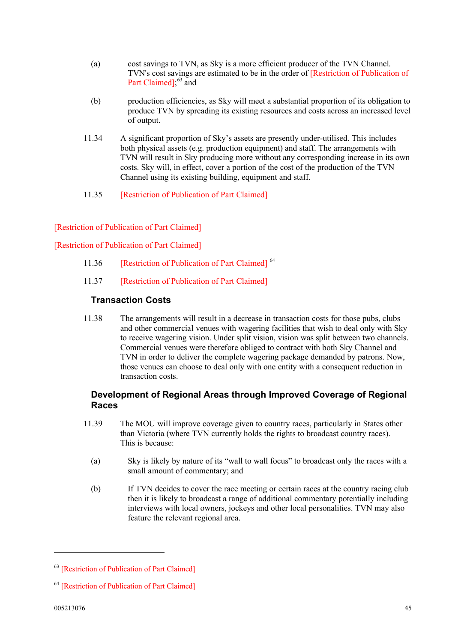- (a) cost savings to TVN, as Sky is a more efficient producer of the TVN Channel. TVN's cost savings are estimated to be in the order of [Restriction of Publication of Part Claimed];<sup>63</sup> and
- (b) production efficiencies, as Sky will meet a substantial proportion of its obligation to produce TVN by spreading its existing resources and costs across an increased level of output.
- 11.34 A significant proportion of Sky's assets are presently under-utilised. This includes both physical assets (e.g. production equipment) and staff. The arrangements with TVN will result in Sky producing more without any corresponding increase in its own costs. Sky will, in effect, cover a portion of the cost of the production of the TVN Channel using its existing building, equipment and staff.
- 11.35 [Restriction of Publication of Part Claimed]

### [Restriction of Publication of Part Claimed]

[Restriction of Publication of Part Claimed]

- 11.36 [Restriction of Publication of Part Claimed] <sup>64</sup>
- 11.37 [Restriction of Publication of Part Claimed]

### **Transaction Costs**

11.38 The arrangements will result in a decrease in transaction costs for those pubs, clubs and other commercial venues with wagering facilities that wish to deal only with Sky to receive wagering vision. Under split vision, vision was split between two channels. Commercial venues were therefore obliged to contract with both Sky Channel and TVN in order to deliver the complete wagering package demanded by patrons. Now, those venues can choose to deal only with one entity with a consequent reduction in transaction costs.

### **Development of Regional Areas through Improved Coverage of Regional Races**

- 11.39 The MOU will improve coverage given to country races, particularly in States other than Victoria (where TVN currently holds the rights to broadcast country races). This is because:
	- (a) Sky is likely by nature of its "wall to wall focus" to broadcast only the races with a small amount of commentary; and
	- (b) If TVN decides to cover the race meeting or certain races at the country racing club then it is likely to broadcast a range of additional commentary potentially including interviews with local owners, jockeys and other local personalities. TVN may also feature the relevant regional area.

<sup>63</sup> [Restriction of Publication of Part Claimed]

<sup>&</sup>lt;sup>64</sup> [Restriction of Publication of Part Claimed]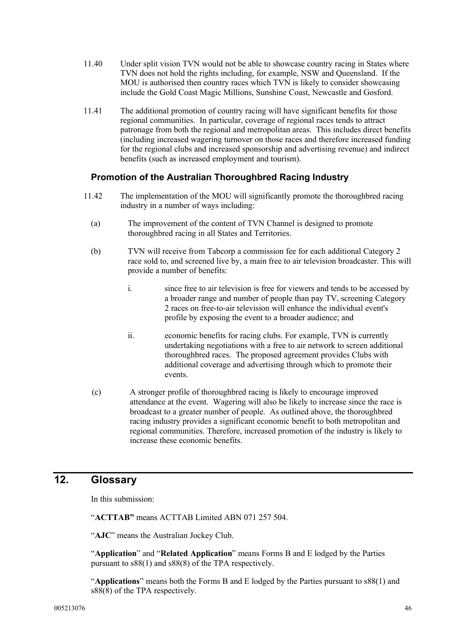- 11.40 Under split vision TVN would not be able to showcase country racing in States where TVN does not hold the rights including, for example, NSW and Queensland. If the MOU is authorised then country races which TVN is likely to consider showcasing include the Gold Coast Magic Millions, Sunshine Coast, Newcastle and Gosford.
- 11.41 The additional promotion of country racing will have significant benefits for those regional communities. In particular, coverage of regional races tends to attract patronage from both the regional and metropolitan areas. This includes direct benefits (including increased wagering turnover on those races and therefore increased funding for the regional clubs and increased sponsorship and advertising revenue) and indirect benefits (such as increased employment and tourism).

### **Promotion of the Australian Thoroughbred Racing Industry**

- 11.42 The implementation of the MOU will significantly promote the thoroughbred racing industry in a number of ways including:
	- (a) The improvement of the content of TVN Channel is designed to promote thoroughbred racing in all States and Territories.
	- (b) TVN will receive from Tabcorp a commission fee for each additional Category 2 race sold to, and screened live by, a main free to air television broadcaster. This will provide a number of benefits:
		- i. since free to air television is free for viewers and tends to be accessed by a broader range and number of people than pay TV, screening Category 2 races on free-to-air television will enhance the individual event's profile by exposing the event to a broader audience; and
		- ii. economic benefits for racing clubs. For example, TVN is currently undertaking negotiations with a free to air network to screen additional thoroughbred races. The proposed agreement provides Clubs with additional coverage and advertising through which to promote their events.
	- (c) A stronger profile of thoroughbred racing is likely to encourage improved attendance at the event. Wagering will also be likely to increase since the race is broadcast to a greater number of people. As outlined above, the thoroughbred racing industry provides a significant economic benefit to both metropolitan and regional communities. Therefore, increased promotion of the industry is likely to increase these economic benefits.

# **12. Glossary**

In this submission:

"**ACTTAB"** means ACTTAB Limited ABN 071 257 504.

"**AJC**" means the Australian Jockey Club.

"**Application**" and "**Related Application**" means Forms B and E lodged by the Parties pursuant to s88(1) and s88(8) of the TPA respectively.

"**Applications**" means both the Forms B and E lodged by the Parties pursuant to s88(1) and s88(8) of the TPA respectively.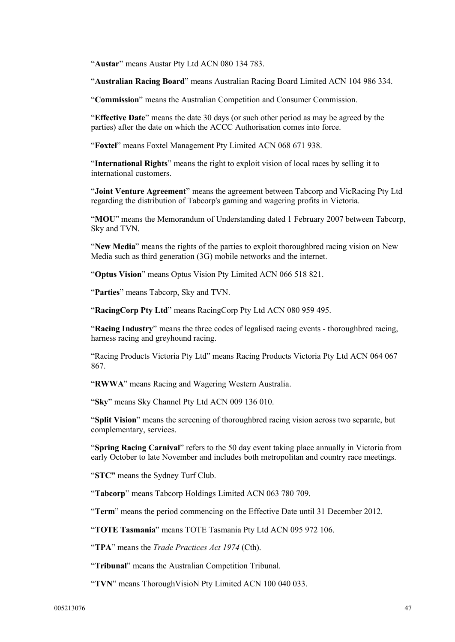"**Austar**" means Austar Pty Ltd ACN 080 134 783.

"**Australian Racing Board**" means Australian Racing Board Limited ACN 104 986 334.

"**Commission**" means the Australian Competition and Consumer Commission.

"**Effective Date**" means the date 30 days (or such other period as may be agreed by the parties) after the date on which the ACCC Authorisation comes into force.

"**Foxtel**" means Foxtel Management Pty Limited ACN 068 671 938.

"**International Rights**" means the right to exploit vision of local races by selling it to international customers.

"**Joint Venture Agreement**" means the agreement between Tabcorp and VicRacing Pty Ltd regarding the distribution of Tabcorp's gaming and wagering profits in Victoria.

"**MOU**" means the Memorandum of Understanding dated 1 February 2007 between Tabcorp, Sky and TVN.

"**New Media**" means the rights of the parties to exploit thoroughbred racing vision on New Media such as third generation (3G) mobile networks and the internet.

"**Optus Vision**" means Optus Vision Pty Limited ACN 066 518 821.

"**Parties**" means Tabcorp, Sky and TVN.

"**RacingCorp Pty Ltd**" means RacingCorp Pty Ltd ACN 080 959 495.

"**Racing Industry**" means the three codes of legalised racing events - thoroughbred racing, harness racing and greyhound racing.

"Racing Products Victoria Pty Ltd" means Racing Products Victoria Pty Ltd ACN 064 067 867.

"**RWWA**" means Racing and Wagering Western Australia.

"**Sky**" means Sky Channel Pty Ltd ACN 009 136 010.

"**Split Vision**" means the screening of thoroughbred racing vision across two separate, but complementary, services.

"**Spring Racing Carnival**" refers to the 50 day event taking place annually in Victoria from early October to late November and includes both metropolitan and country race meetings.

"**STC"** means the Sydney Turf Club.

"**Tabcorp**" means Tabcorp Holdings Limited ACN 063 780 709.

"**Term**" means the period commencing on the Effective Date until 31 December 2012.

"**TOTE Tasmania**" means TOTE Tasmania Pty Ltd ACN 095 972 106.

"**TPA**" means the *Trade Practices Act 1974* (Cth).

"**Tribunal**" means the Australian Competition Tribunal.

"**TVN**" means ThoroughVisioN Pty Limited ACN 100 040 033.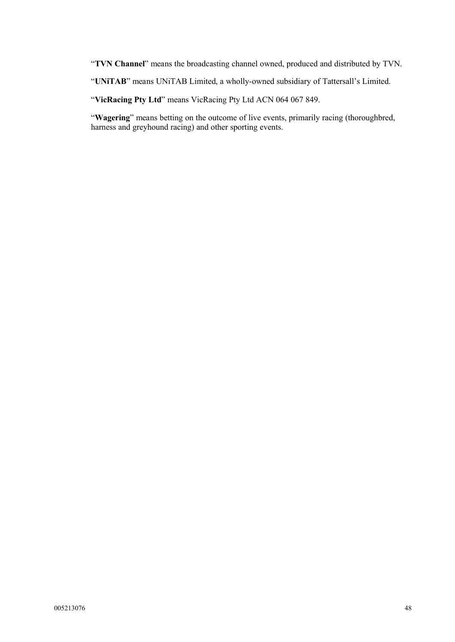"**TVN Channel**" means the broadcasting channel owned, produced and distributed by TVN.

"**UNiTAB**" means UNiTAB Limited, a wholly-owned subsidiary of Tattersall's Limited.

"**VicRacing Pty Ltd**" means VicRacing Pty Ltd ACN 064 067 849.

"**Wagering**" means betting on the outcome of live events, primarily racing (thoroughbred, harness and greyhound racing) and other sporting events.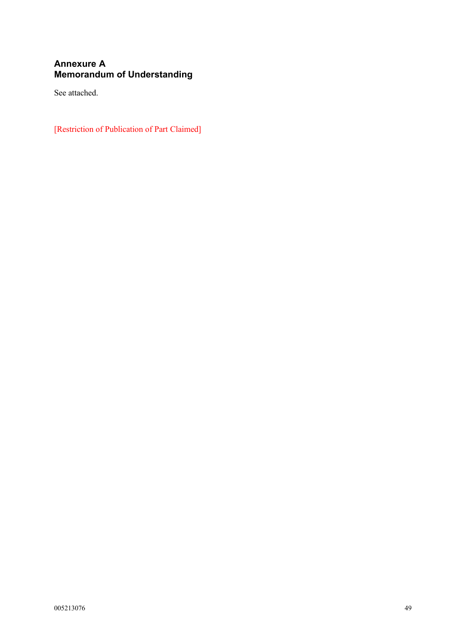# **Annexure A Memorandum of Understanding**

See attached.

[Restriction of Publication of Part Claimed]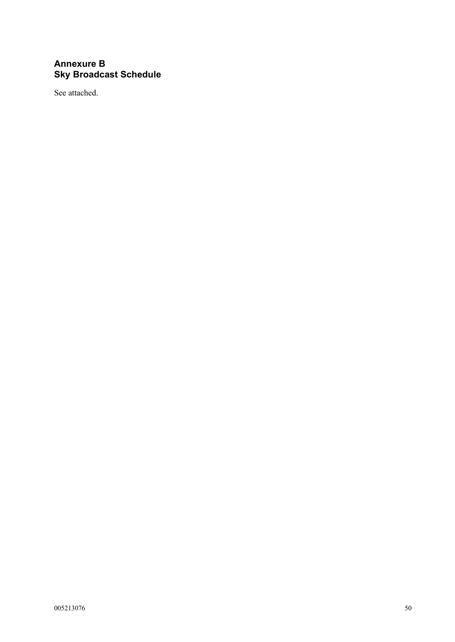# **Annexure B Sky Broadcast Schedule**

See attached.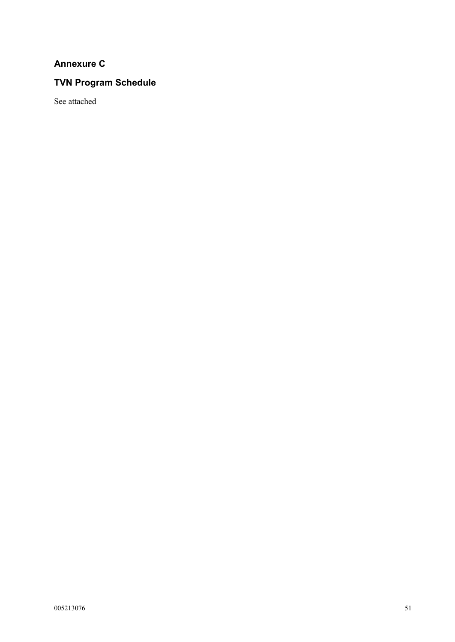# **Annexure C**

# **TVN Program Schedule**

See attached